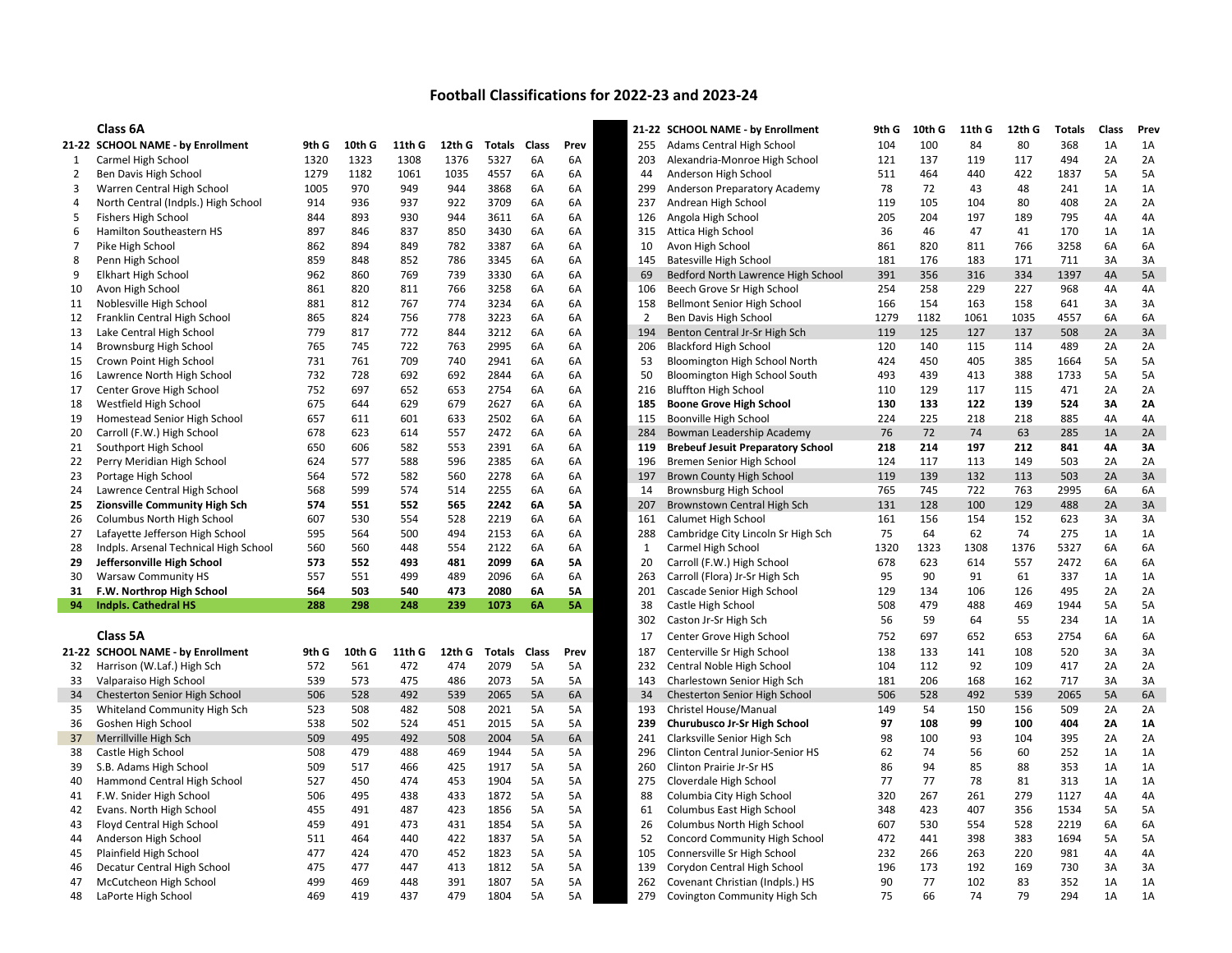## Football Classifications for 2022-23 and 2023-24

|                | Class 6A                              |       |            |        |        |               |       |           |                | 21-22 SCHOOL NAME - by Enrollment        | 9th G | 10th G     | 11th G | 12th G     | <b>Totals</b> | Class | Prev |
|----------------|---------------------------------------|-------|------------|--------|--------|---------------|-------|-----------|----------------|------------------------------------------|-------|------------|--------|------------|---------------|-------|------|
|                | 21-22 SCHOOL NAME - by Enrollment     | 9th G | 10th G     | 11th G | 12th G | Totals        | Class | Prev      | 255            | Adams Central High School                | 104   | 100        | 84     | 80         | 368           | 1A    | 1A   |
| 1              | Carmel High School                    | 1320  | 1323       | 1308   | 1376   | 5327          | 6A    | 6A        | 203            | Alexandria-Monroe High School            | 121   | 137        | 119    | 117        | 494           | 2A    | 2A   |
| $\overline{2}$ | Ben Davis High School                 | 1279  | 1182       | 1061   | 1035   | 4557          | 6A    | 6A        | 44             | Anderson High School                     | 511   | 464        | 440    | 422        | 1837          | 5A    | 5A   |
| 3              | Warren Central High School            | 1005  | 970        | 949    | 944    | 3868          | 6A    | 6A        | 299            | Anderson Preparatory Academy             | 78    | 72         | 43     | 48         | 241           | 1A    | 1A   |
| 4              | North Central (Indpls.) High School   | 914   | 936        | 937    | 922    | 3709          | 6A    | 6A        | 237            | Andrean High School                      | 119   | 105        | 104    | 80         | 408           | 2A    | 2A   |
| 5              | <b>Fishers High School</b>            | 844   | 893        | 930    | 944    | 3611          | 6A    | 6A        | 126            | Angola High School                       | 205   | 204        | 197    | 189        | 795           | 4A    | 4A   |
| 6              | Hamilton Southeastern HS              | 897   | 846        | 837    | 850    | 3430          | 6A    | 6A        | 315            | Attica High School                       | 36    | 46         | 47     | 41         | 170           | 1A    | 1A   |
| 7              | Pike High School                      | 862   | 894        | 849    | 782    | 3387          | 6A    | 6A        | 10             | Avon High School                         | 861   | 820        | 811    | 766        | 3258          | 6A    | 6A   |
| 8              | Penn High School                      | 859   | 848        | 852    | 786    | 3345          | 6A    | 6A        | 145            | <b>Batesville High School</b>            | 181   | 176        | 183    | 171        | 711           | 3A    | 3A   |
| 9              | <b>Elkhart High School</b>            | 962   | 860        | 769    | 739    | 3330          | 6A    | 6A        | 69             | Bedford North Lawrence High School       | 391   | 356        | 316    | 334        | 1397          | 4A    | 5A   |
| 10             | Avon High School                      | 861   | 820        | 811    | 766    | 3258          | 6A    | 6A        | 106            | Beech Grove Sr High School               | 254   | 258        | 229    | 227        | 968           | 4A    | 4A   |
| 11             | Noblesville High School               | 881   | 812        | 767    | 774    | 3234          | 6A    | 6A        | 158            | Bellmont Senior High School              | 166   | 154        | 163    | 158        | 641           | 3A    | 3A   |
| 12             | Franklin Central High School          | 865   | 824        | 756    | 778    | 3223          | 6A    | 6A        | $\overline{2}$ | Ben Davis High School                    | 1279  | 1182       | 1061   | 1035       | 4557          | 6A    | 6A   |
| 13             | Lake Central High School              | 779   | 817        | 772    | 844    | 3212          | 6A    | 6A        | 194            | Benton Central Jr-Sr High Sch            | 119   | 125        | 127    | 137        | 508           | 2A    | 3A   |
| 14             | Brownsburg High School                | 765   | 745        | 722    | 763    | 2995          | 6A    | 6A        | 206            | <b>Blackford High School</b>             | 120   | 140        | 115    | 114        | 489           | 2A    | 2A   |
| 15             | Crown Point High School               | 731   | 761        | 709    | 740    | 2941          | 6A    | 6A        | 53             | Bloomington High School North            | 424   | 450        | 405    | 385        | 1664          | 5A    | 5A   |
| 16             | Lawrence North High School            | 732   | 728        | 692    | 692    | 2844          | 6A    | 6A        | 50             | Bloomington High School South            | 493   | 439        | 413    | 388        | 1733          | 5A    | 5A   |
| 17             | Center Grove High School              | 752   | 697        | 652    | 653    | 2754          | 6A    | 6A        | 216            | <b>Bluffton High School</b>              | 110   | 129        | 117    | 115        | 471           | 2A    | 2A   |
|                |                                       | 675   | 644        | 629    | 679    | 2627          | 6A    | 6A        | 185            | <b>Boone Grove High School</b>           | 130   | 133        | 122    | 139        | 524           | 3A    | 2A   |
| 18<br>19       | Westfield High School                 | 657   | 611        | 601    |        | 2502          |       | 6A        | 115            | Boonville High School                    | 224   | 225        | 218    | 218        | 885           | 4A    |      |
|                | Homestead Senior High School          |       |            |        | 633    | 2472          | 6A    |           |                |                                          | 76    | 72         |        |            |               |       | 4A   |
| 20             | Carroll (F.W.) High School            | 678   | 623        | 614    | 557    |               | 6A    | 6A        | 284            | Bowman Leadership Academy                |       |            | 74     | 63         | 285           | 1A    | 2A   |
| 21             | Southport High School                 | 650   | 606        | 582    | 553    | 2391          | 6A    | 6A        | 119            | <b>Brebeuf Jesuit Preparatory School</b> | 218   | 214        | 197    | 212        | 841           | 4Α    | 3A   |
| 22             | Perry Meridian High School            | 624   | 577<br>572 | 588    | 596    | 2385          | 6A    | 6A        | 196            | Bremen Senior High School                | 124   | 117<br>139 | 113    | 149<br>113 | 503           | 2A    | 2A   |
| 23             | Portage High School                   | 564   |            | 582    | 560    | 2278          | 6A    | 6A        | 197            | Brown County High School                 | 119   |            | 132    |            | 503           | 2A    | 3A   |
| 24             | Lawrence Central High School          | 568   | 599        | 574    | 514    | 2255          | 6A    | 6A        | 14             | Brownsburg High School                   | 765   | 745        | 722    | 763        | 2995          | 6A    | 6A   |
| 25             | Zionsville Community High Sch         | 574   | 551        | 552    | 565    | 2242          | 6A    | <b>5A</b> | 207            | Brownstown Central High Sch              | 131   | 128        | 100    | 129        | 488           | 2A    | 3A   |
| 26             | Columbus North High School            | 607   | 530        | 554    | 528    | 2219          | 6A    | 6A        | 161            | Calumet High School                      | 161   | 156        | 154    | 152        | 623           | 3A    | 3A   |
| 27             | Lafayette Jefferson High School       | 595   | 564        | 500    | 494    | 2153          | 6A    | 6A        | 288            | Cambridge City Lincoln Sr High Sch       | 75    | 64         | 62     | 74         | 275           | 1A    | 1A   |
| 28             | Indpls. Arsenal Technical High School | 560   | 560        | 448    | 554    | 2122          | 6A    | 6A        | $\mathbf{1}$   | Carmel High School                       | 1320  | 1323       | 1308   | 1376       | 5327          | 6A    | 6A   |
| 29             | Jeffersonville High School            | 573   | 552        | 493    | 481    | 2099          | 6A    | <b>5A</b> | 20             | Carroll (F.W.) High School               | 678   | 623        | 614    | 557        | 2472          | 6A    | 6A   |
| 30             | <b>Warsaw Community HS</b>            | 557   | 551        | 499    | 489    | 2096          | 6A    | 6A        | 263            | Carroll (Flora) Jr-Sr High Sch           | 95    | 90         | 91     | 61         | 337           | 1A    | 1A   |
| 31             | F.W. Northrop High School             | 564   | 503        | 540    | 473    | 2080          | 6A    | <b>5A</b> | 201            | Cascade Senior High School               | 129   | 134        | 106    | 126        | 495           | 2A    | 2A   |
| 94             | <b>Indpls. Cathedral HS</b>           | 288   | 298        | 248    | 239    | 1073          | 6A    | 5A        | 38             | Castle High School                       | 508   | 479        | 488    | 469        | 1944          | 5A    | 5A   |
|                |                                       |       |            |        |        |               |       |           | 302            | Caston Jr-Sr High Sch                    | 56    | 59         | 64     | 55         | 234           | 1A    | 1A   |
|                | Class 5A                              |       |            |        |        |               |       |           | 17             | Center Grove High School                 | 752   | 697        | 652    | 653        | 2754          | 6A    | 6A   |
|                | 21-22 SCHOOL NAME - by Enrollment     | 9th G | 10th G     | 11th G | 12th G | <b>Totals</b> | Class | Prev      | 187            | Centerville Sr High School               | 138   | 133        | 141    | 108        | 520           | 3A    | 3A   |
| 32             | Harrison (W.Laf.) High Sch            | 572   | 561        | 472    | 474    | 2079          | 5A    | 5A        | 232            | Central Noble High School                | 104   | 112        | 92     | 109        | 417           | 2A    | 2A   |
| 33             | Valparaiso High School                | 539   | 573        | 475    | 486    | 2073          | 5A    | 5A        | 143            | Charlestown Senior High Sch              | 181   | 206        | 168    | 162        | 717           | 3A    | 3A   |
| 34             | Chesterton Senior High School         | 506   | 528        | 492    | 539    | 2065          | 5A    | 6A        | 34             | Chesterton Senior High School            | 506   | 528        | 492    | 539        | 2065          | 5A    | 6A   |
| 35             | Whiteland Community High Sch          | 523   | 508        | 482    | 508    | 2021          | 5A    | 5A        | 193            | Christel House/Manual                    | 149   | 54         | 150    | 156        | 509           | 2A    | 2A   |
| 36             | Goshen High School                    | 538   | 502        | 524    | 451    | 2015          | 5A    | 5A        | 239            | Churubusco Jr-Sr High School             | 97    | 108        | 99     | 100        | 404           | 2A    | 1A   |
| 37             | Merrillville High Sch                 | 509   | 495        | 492    | 508    | 2004          | 5A    | 6A        | 241            | Clarksville Senior High Sch              | 98    | 100        | 93     | 104        | 395           | 2A    | 2A   |
| 38             | Castle High School                    | 508   | 479        | 488    | 469    | 1944          | 5A    | 5A        | 296            | Clinton Central Junior-Senior HS         | 62    | 74         | 56     | 60         | 252           | 1A    | 1A   |
| 39             | S.B. Adams High School                | 509   | 517        | 466    | 425    | 1917          | 5A    | 5A        | 260            | Clinton Prairie Jr-Sr HS                 | 86    | 94         | 85     | 88         | 353           | 1A    | 1A   |
| 40             | Hammond Central High School           | 527   | 450        | 474    | 453    | 1904          | 5A    | 5A        | 275            | Cloverdale High School                   | 77    | 77         | 78     | 81         | 313           | 1A    | 1A   |
| 41             | F.W. Snider High School               | 506   | 495        | 438    | 433    | 1872          | 5A    | 5A        | 88             | Columbia City High School                | 320   | 267        | 261    | 279        | 1127          | 4A    | 4A   |
| 42             | Evans. North High School              | 455   | 491        | 487    | 423    | 1856          | 5A    | 5A        | 61             | Columbus East High School                | 348   | 423        | 407    | 356        | 1534          | 5A    | 5A   |
| 43             | Floyd Central High School             | 459   | 491        | 473    | 431    | 1854          | 5A    | 5A        | 26             | Columbus North High School               | 607   | 530        | 554    | 528        | 2219          | 6A    | 6A   |
| 44             | Anderson High School                  | 511   | 464        | 440    | 422    | 1837          | 5A    | 5A        | 52             | Concord Community High School            | 472   | 441        | 398    | 383        | 1694          | 5A    | 5A   |
| 45             | Plainfield High School                | 477   | 424        | 470    | 452    | 1823          | 5A    | 5A        | 105            | Connersville Sr High School              | 232   | 266        | 263    | 220        | 981           | 4A    | 4A   |
| 46             | Decatur Central High School           | 475   | 477        | 447    | 413    | 1812          | 5A    | 5A        | 139            | Corydon Central High School              | 196   | 173        | 192    | 169        | 730           | 3A    | 3A   |
| 47             | McCutcheon High School                | 499   | 469        | 448    | 391    | 1807          | 5A    | 5A        | 262            | Covenant Christian (Indpls.) HS          | 90    | 77         | 102    | 83         | 352           | 1A    | 1A   |
| 48             | LaPorte High School                   | 469   | 419        | 437    | 479    | 1804          | 5A    | 5А        | 279            | Covington Community High Sch             | 75    | 66         | 74     | 79         | 294           | 1A    | 1A   |

|                | Class 6A                                              |       |        |        |        |                     |           |           |                | 21-22 SCHOOL NAME - by Enrollment                               | 9th G | 10th G | 11th G | 12th G | <b>Totals</b> | Class | Prev      |
|----------------|-------------------------------------------------------|-------|--------|--------|--------|---------------------|-----------|-----------|----------------|-----------------------------------------------------------------|-------|--------|--------|--------|---------------|-------|-----------|
|                | 1-22 SCHOOL NAME - by Enrollment                      | 9th G | 10th G | 11th G | 12th G | <b>Totals Class</b> |           | Prev      | 255            | Adams Central High School                                       | 104   | 100    | 84     | 80     | 368           | 1A    | 1A        |
| 1              | Carmel High School                                    | 1320  | 1323   | 1308   | 1376   | 5327                | 6A        | 6A        | 203            | Alexandria-Monroe High School                                   | 121   | 137    | 119    | 117    | 494           | 2A    | 2A        |
| $\overline{2}$ | Ben Davis High School                                 | 1279  | 1182   | 1061   | 1035   | 4557                | 6A        | 6A        | 44             | Anderson High School                                            | 511   | 464    | 440    | 422    | 1837          | 5A    | 5A        |
| 3              | Warren Central High School                            | 1005  | 970    | 949    | 944    | 3868                | 6A        | 6A        | 299            | Anderson Preparatory Academy                                    | 78    | 72     | 43     | 48     | 241           | 1A    | 1A        |
| 4              | North Central (Indpls.) High School                   | 914   | 936    | 937    | 922    | 3709                | 6A        | 6A        | 237            | Andrean High School                                             | 119   | 105    | 104    | 80     | 408           | 2A    | 2A        |
| 5              | Fishers High School                                   | 844   | 893    | 930    | 944    | 3611                | 6A        | 6A        | 126            | Angola High School                                              | 205   | 204    | 197    | 189    | 795           | 4A    | 4A        |
| 6              | Hamilton Southeastern HS                              | 897   | 846    | 837    | 850    | 3430                | 6A        | 6A        | 315            | Attica High School                                              | 36    | 46     | 47     | 41     | 170           | 1A    | 1A        |
| $\overline{7}$ | Pike High School                                      | 862   | 894    | 849    | 782    | 3387                | 6A        | 6A        | 10             | Avon High School                                                | 861   | 820    | 811    | 766    | 3258          | 6A    | 6A        |
| 8              | Penn High School                                      | 859   | 848    | 852    | 786    | 3345                | 6A        | 6A        | 145            | <b>Batesville High School</b>                                   | 181   | 176    | 183    | 171    | 711           | 3A    | 3A        |
| 9              | <b>Elkhart High School</b>                            | 962   | 860    | 769    | 739    | 3330                | 6A        | 6A        | 69             | Bedford North Lawrence High School                              | 391   | 356    | 316    | 334    | 1397          | 4A    | 5A        |
| 10             | Avon High School                                      | 861   | 820    | 811    | 766    | 3258                | 6A        | 6A        | 106            | Beech Grove Sr High School                                      | 254   | 258    | 229    | 227    | 968           | 4A    | 4A        |
| 11             | Noblesville High School                               | 881   | 812    | 767    | 774    | 3234                | 6A        | 6A        | 158            | Bellmont Senior High School                                     | 166   | 154    | 163    | 158    | 641           | 3A    | 3A        |
| 12             | Franklin Central High School                          | 865   | 824    | 756    | 778    | 3223                | 6A        | 6A        | $\overline{2}$ | Ben Davis High School                                           | 1279  | 1182   | 1061   | 1035   | 4557          | 6A    | 6A        |
| 13             | Lake Central High School                              | 779   | 817    | 772    | 844    | 3212                | 6A        | 6A        | 194            | Benton Central Jr-Sr High Sch                                   | 119   | 125    | 127    | 137    | 508           | 2A    | 3A        |
| 14             | Brownsburg High School                                | 765   | 745    | 722    | 763    | 2995                | 6A        | 6A        | 206            | <b>Blackford High School</b>                                    | 120   | 140    | 115    | 114    | 489           | 2A    | 2A        |
| 15             | Crown Point High School                               | 731   | 761    | 709    | 740    | 2941                | 6A        | 6A        | 53             | Bloomington High School North                                   | 424   | 450    | 405    | 385    | 1664          | 5A    | 5A        |
| 16             | Lawrence North High School                            | 732   | 728    | 692    | 692    | 2844                | 6A        | 6A        | 50             | Bloomington High School South                                   | 493   | 439    | 413    | 388    | 1733          | 5A    | 5A        |
| 17             | Center Grove High School                              | 752   | 697    | 652    | 653    | 2754                | 6A        | 6A        | 216            | <b>Bluffton High School</b>                                     | 110   | 129    | 117    | 115    | 471           | 2A    | 2A        |
| 18             | Westfield High School                                 | 675   | 644    | 629    | 679    | 2627                | 6A        | 6A        | 185            | <b>Boone Grove High School</b>                                  | 130   | 133    | 122    | 139    | 524           | 3A    | 2A        |
| 19             | Homestead Senior High School                          | 657   | 611    | 601    | 633    | 2502                | 6A        | 6A        | 115            | Boonville High School                                           | 224   | 225    | 218    | 218    | 885           | 4A    | 4A        |
| 20             | Carroll (F.W.) High School                            | 678   | 623    | 614    | 557    | 2472                | 6A        | 6A        | 284            | Bowman Leadership Academy                                       | 76    | 72     | 74     | 63     | 285           | 1A    | 2A        |
| 21             | Southport High School                                 | 650   | 606    | 582    | 553    | 2391                | 6A        | 6A        | 119            | <b>Brebeuf Jesuit Preparatory School</b>                        | 218   | 214    | 197    | 212    | 841           | 4A    | 3A        |
| 22             | Perry Meridian High School                            | 624   | 577    | 588    | 596    | 2385                | 6A        | 6A        | 196            | Bremen Senior High School                                       | 124   | 117    | 113    | 149    | 503           | 2A    | 2A        |
| 23             | Portage High School                                   | 564   | 572    | 582    | 560    | 2278                | 6A        | 6A        | 197            | Brown County High School                                        | 119   | 139    | 132    | 113    | 503           | 2A    | 3A        |
| 24             | Lawrence Central High School                          | 568   | 599    | 574    | 514    | 2255                | 6A        | 6A        | 14             | Brownsburg High School                                          | 765   | 745    | 722    | 763    | 2995          | 6A    | 6A        |
| 25.            | <b>Zionsville Community High Sch</b>                  | 574   | 551    | 552    | 565    | 2242                | 6A        | <b>5A</b> | 207            | Brownstown Central High Sch                                     | 131   | 128    | 100    | 129    | 488           | 2A    | 3A        |
| 26             | Columbus North High School                            | 607   | 530    | 554    | 528    | 2219                | 6A        | 6A        | 161            | Calumet High School                                             | 161   | 156    | 154    | 152    | 623           | 3A    | 3A        |
| 27             | Lafayette Jefferson High School                       | 595   | 564    | 500    | 494    | 2153                | 6A        | 6A        | 288            | Cambridge City Lincoln Sr High Sch                              | 75    | 64     | 62     | 74     | 275           | 1A    | 1A        |
| 28             | Indpls. Arsenal Technical High School                 | 560   | 560    | 448    | 554    | 2122                | 6A        | 6A        | 1              | Carmel High School                                              | 1320  | 1323   | 1308   | 1376   | 5327          | 6A    | 6A        |
| 29             | Jeffersonville High School                            | 573   | 552    | 493    | 481    | 2099                | 6A        | <b>5A</b> | 20             | Carroll (F.W.) High School                                      | 678   | 623    | 614    | 557    | 2472          | 6A    | 6A        |
| 30             | <b>Warsaw Community HS</b>                            | 557   | 551    | 499    | 489    | 2096                | 6A        | 6A        | 263            | Carroll (Flora) Jr-Sr High Sch                                  | 95    | 90     | 91     | 61     | 337           | 1A    | 1A        |
| 31             | F.W. Northrop High School                             | 564   | 503    | 540    | 473    | 2080                | 6A        | <b>5A</b> | 201            | Cascade Senior High School                                      | 129   | 134    | 106    | 126    | 495           | 2A    | 2A        |
| 94             | <b>Indpls. Cathedral HS</b>                           | 288   | 298    | 248    | 239    | 1073                | 6A        | <b>5A</b> | 38             | Castle High School                                              | 508   | 479    | 488    | 469    | 1944          | 5A    | 5A        |
|                |                                                       |       |        |        |        |                     |           |           | 302            | Caston Jr-Sr High Sch                                           | 56    | 59     | 64     | 55     | 234           | 1A    | 1A        |
|                | Class 5A                                              |       |        |        |        |                     |           |           | 17             | Center Grove High School                                        | 752   | 697    | 652    | 653    | 2754          | 6A    | 6A        |
|                | 1-22 SCHOOL NAME - by Enrollment                      | 9th G | 10th G | 11th G | 12th G | <b>Totals Class</b> |           | Prev      | 187            | Centerville Sr High School                                      | 138   | 133    | 141    | 108    | 520           | 3A    | 3A        |
| 32             | Harrison (W.Laf.) High Sch                            | 572   | 561    | 472    | 474    | 2079                | 5A        | 5A        | 232            | Central Noble High School                                       | 104   | 112    | 92     | 109    | 417           | 2A    | 2A        |
| 33             | Valparaiso High School                                | 539   | 573    | 475    | 486    | 2073                | 5A        | 5A        | 143            | Charlestown Senior High Sch                                     | 181   | 206    | 168    | 162    | 717           | 3A    | 3A        |
| 34             | <b>Chesterton Senior High School</b>                  | 506   | 528    | 492    | 539    | 2065                | <b>5A</b> | 6A        | 34             | Chesterton Senior High School                                   | 506   | 528    | 492    | 539    | 2065          | 5A    | 6A        |
| 35             | Whiteland Community High Sch                          | 523   | 508    | 482    | 508    | 2021                | 5A        | 5A        | 193            | Christel House/Manual                                           | 149   | 54     | 150    | 156    | 509           | 2A    | 2A        |
| 36             | Goshen High School                                    | 538   | 502    | 524    | 451    | 2015                | 5A        | 5A        | 239            | Churubusco Jr-Sr High School                                    | 97    | 108    | 99     | 100    | 404           | 2A    | <b>1A</b> |
| 37             | Merrillville High Sch                                 | 509   | 495    | 492    | 508    | 2004                | 5A        | 6A        | 241            | Clarksville Senior High Sch                                     | 98    | 100    | 93     | 104    | 395           | 2A    | 2A        |
| 38             | Castle High School                                    | 508   | 479    | 488    | 469    | 1944                | 5A        | 5A        | 296            | Clinton Central Junior-Senior HS                                | 62    | 74     | 56     | 60     | 252           | 1A    | 1A        |
| 39             | S.B. Adams High School                                | 509   | 517    | 466    | 425    | 1917                | 5A        | 5A        | 260            | Clinton Prairie Jr-Sr HS                                        | 86    | 94     | 85     | 88     | 353           | 1A    | 1A        |
| 40             | Hammond Central High School                           | 527   | 450    | 474    | 453    | 1904                | 5A        | 5A        | 275            | Cloverdale High School                                          | 77    | 77     | 78     | 81     | 313           | 1A    | 1A        |
| 41             | F.W. Snider High School                               | 506   | 495    | 438    | 433    | 1872                | 5A        | 5A        | 88             | Columbia City High School                                       | 320   | 267    | 261    | 279    | 1127          | 4A    | 4A        |
| 42             | Evans. North High School                              | 455   | 491    | 487    | 423    | 1856                | 5A        | 5A        | 61             | Columbus East High School                                       | 348   | 423    | 407    | 356    | 1534          | 5A    | 5A        |
|                | Floyd Central High School                             | 459   | 491    | 473    | 431    | 1854                | 5A        | 5A        | 26             | Columbus North High School                                      | 607   | 530    | 554    | 528    | 2219          | 6A    | 6A        |
| 43<br>44       | Anderson High School                                  | 511   | 464    | 440    | 422    | 1837                | 5A        | 5A        | 52             | Concord Community High School                                   | 472   | 441    | 398    | 383    | 1694          | 5A    | 5A        |
|                |                                                       | 477   | 424    | 470    | 452    | 1823                | 5A        | 5A        | 105            |                                                                 | 232   | 266    | 263    | 220    | 981           | 4A    | 4A        |
| 45<br>46       | Plainfield High School<br>Decatur Central High School | 475   | 477    | 447    | 413    | 1812                | 5A        | 5A        | 139            | Connersville Sr High School<br>Corydon Central High School      | 196   | 173    | 192    | 169    | 730           | 3A    | 3A        |
| 47             | McCutcheon High School                                | 499   | 469    | 448    | 391    | 1807                | 5A        | 5A        | 262            |                                                                 | 90    | 77     | 102    | 83     | 352           | 1A    | 1A        |
|                | LaPorte High School                                   | 469   | 419    | 437    | 479    | 1804                | 5A        | 5A        | 279            | Covenant Christian (Indpls.) HS<br>Covington Community High Sch | 75    | 66     | 74     | 79     | 294           | 1A    | 1A        |
| 48             |                                                       |       |        |        |        |                     |           |           |                |                                                                 |       |        |        |        |               |       |           |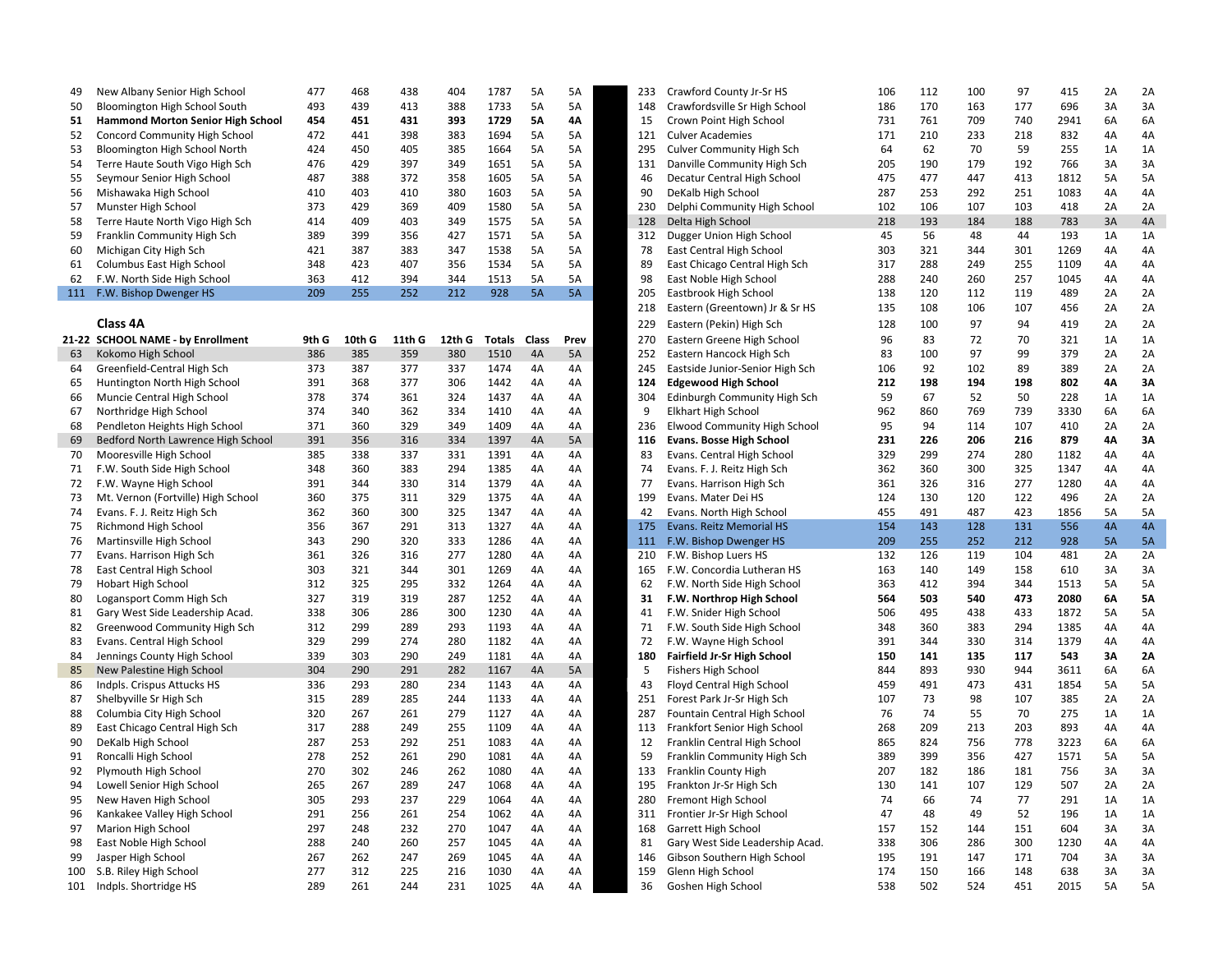| 49 | New Albany Senior High School            | 477 | 468 | 438 | 404 | 1787 | 5A        | 5A        | 233 | Crawford County Jr-Sr HS      | 106 | 112 | 100 | 97  | 415  | 2Α | 2A |
|----|------------------------------------------|-----|-----|-----|-----|------|-----------|-----------|-----|-------------------------------|-----|-----|-----|-----|------|----|----|
| 50 | Bloomington High School South            | 493 | 439 | 413 | 388 | 1733 | 5A        | 5A        | 148 | Crawfordsville Sr High School | 186 | 170 | 163 | 177 | 696  | 3A | 3A |
| 51 | <b>Hammond Morton Senior High School</b> | 454 | 451 | 431 | 393 | 1729 | 5Α        | 4Α        | 15  | Crown Point High School       | 731 | 761 | 709 | 740 | 2941 | 6A | 6A |
| 52 | Concord Community High School            | 472 | 441 | 398 | 383 | 1694 | 5А        | 5А        | 121 | <b>Culver Academies</b>       | 171 | 210 | 233 | 218 | 832  | 4A | 4A |
| 53 | Bloomington High School North            | 424 | 450 | 405 | 385 | 1664 | 5А        | <b>5A</b> | 295 | Culver Community High Sch     | 64  | 62  | 70  | 59  | 255  | 1A | 1A |
| 54 | Terre Haute South Vigo High Sch          | 476 | 429 | 397 | 349 | 1651 | 5A        | <b>5A</b> | 131 | Danville Community High Sch   | 205 | 190 | 179 | 192 | 766  | 3A | 3A |
| 55 | Seymour Senior High School               | 487 | 388 | 372 | 358 | 1605 | 5А        | 5А        | 46  | Decatur Central High School   | 475 | 477 | 447 | 413 | 1812 | 5А | 5A |
| 56 | Mishawaka High School                    | 410 | 403 | 410 | 380 | 1603 | 5A        | 5А        | 90  | DeKalb High School            | 287 | 253 | 292 | 251 | 1083 | 4A | 4A |
| 57 | Munster High School                      | 373 | 429 | 369 | 409 | 1580 | 5А        | 5А        | 230 | Delphi Community High School  | 102 | 106 | 107 | 103 | 418  | 2A | 2A |
| 58 | Terre Haute North Vigo High Sch          | 414 | 409 | 403 | 349 | 1575 | 5A        | 5А        | 128 | Delta High School             | 218 | 193 | 184 | 188 | 783  | 3A | 4A |
| 59 | Franklin Community High Sch              | 389 | 399 | 356 | 427 | 1571 | 5A        | 5А        | 312 | Dugger Union High School      | 45  | 56  | 48  | 44  | 193  | 1A | 1A |
| 60 | Michigan City High Sch                   | 421 | 387 | 383 | 347 | 1538 | 5A        | 5А        | 78  | East Central High School      | 303 | 321 | 344 | 301 | 1269 | 4A | 4A |
| 61 | Columbus East High School                | 348 | 423 | 407 | 356 | 1534 | 5A        | 5А        | 89  | East Chicago Central High Sch | 317 | 288 | 249 | 255 | 1109 | 4А | 4A |
| 62 | F.W. North Side High School              | 363 | 412 | 394 | 344 | 1513 | 5А        | 5А        |     | East Noble High School        | 288 | 240 | 260 | 257 | 1045 | 4A | 4A |
|    | F.W. Bishop Dwenger HS                   | 209 | 255 | 252 | 212 | 928  | <b>5A</b> | <b>5A</b> | 205 | Eastbrook High School         | 138 | 120 | 112 | 119 | 489  | 2Α | 2A |

|  |   | ñ<br>١ |
|--|---|--------|
|  | л |        |

| 21-22 | <b>SCHOOL NAME - by Enrollment</b> | 9th G | 10th G | 11th G | 12th G | Totals | Class | Prev | 270 | Eastern Greene High School         | 96  | 83  | 72  | 70  | 321  | 1A | 1A        |
|-------|------------------------------------|-------|--------|--------|--------|--------|-------|------|-----|------------------------------------|-----|-----|-----|-----|------|----|-----------|
| 63    | Kokomo High School                 | 386   | 385    | 359    | 380    | 1510   | 4A    | 5A   | 252 | Eastern Hancock High Sch           | 83  | 100 | 97  | 99  | 379  | 2A | 2A        |
| 64    | Greenfield-Central High Sch        | 373   | 387    | 377    | 337    | 1474   | 4A    | 4A   | 245 | Eastside Junior-Senior High Sch    | 106 | 92  | 102 | 89  | 389  | 2A | 2A        |
| 65    | Huntington North High School       | 391   | 368    | 377    | 306    | 1442   | 4A    | 4A   | 124 | <b>Edgewood High School</b>        | 212 | 198 | 194 | 198 | 802  | 4A | 3A        |
| 66    | Muncie Central High School         | 378   | 374    | 361    | 324    | 1437   | 4A    | 4A   | 304 | Edinburgh Community High Sch       | 59  | 67  | 52  | 50  | 228  | 1A | 1A        |
| 67    | Northridge High School             | 374   | 340    | 362    | 334    | 1410   | 4A    | 4A   |     | <b>Elkhart High School</b>         | 962 | 860 | 769 | 739 | 3330 | 6A | 6A        |
| 68    | Pendleton Heights High School      | 371   | 360    | 329    | 349    | 1409   | 4A    | 4A   | 236 | Elwood Community High School       | 95  | 94  | 114 | 107 | 410  | 2A | 2A        |
| 69    | Bedford North Lawrence High School | 391   | 356    | 316    | 334    | 1397   | 4A    | 5A   | 116 | Evans. Bosse High School           | 231 | 226 | 206 | 216 | 879  | 4A | 3A        |
| 70    | Mooresville High School            | 385   | 338    | 337    | 331    | 1391   | 4A    | 4A   | 83  | Evans. Central High School         | 329 | 299 | 274 | 280 | 1182 | 4A | 4A        |
| 71    | F.W. South Side High School        | 348   | 360    | 383    | 294    | 1385   | 4A    | 4A   | 74  | Evans. F. J. Reitz High Sch        | 362 | 360 | 300 | 325 | 1347 | 4A | 4A        |
| 72    | F.W. Wayne High School             | 391   | 344    | 330    | 314    | 1379   | 4A    | 4A   | 77  | Evans. Harrison High Sch           | 361 | 326 | 316 | 277 | 1280 | 4A | 4A        |
| 73    | Mt. Vernon (Fortville) High School | 360   | 375    | 311    | 329    | 1375   | 4A    | 4A   | 199 | Evans. Mater Dei HS                | 124 | 130 | 120 | 122 | 496  | 2A | 2A        |
| 74    | Evans. F. J. Reitz High Sch        | 362   | 360    | 300    | 325    | 1347   | 4A    | 4A   | 42  | Evans. North High School           | 455 | 491 | 487 | 423 | 1856 | 5A | <b>5A</b> |
| 75    | Richmond High School               | 356   | 367    | 291    | 313    | 1327   | 4A    | 4A   | 175 | <b>Evans. Reitz Memorial HS</b>    | 154 | 143 | 128 | 131 | 556  | 4A | 4A        |
| 76    | Martinsville High School           | 343   | 290    | 320    | 333    | 1286   | 4A    | 4A   | 111 | F.W. Bishop Dwenger HS             | 209 | 255 | 252 | 212 | 928  | 5A | 5A        |
| 77    | Evans. Harrison High Sch           | 361   | 326    | 316    | 277    | 1280   | 4A    | 4A   | 210 | F.W. Bishop Luers HS               | 132 | 126 | 119 | 104 | 481  | 2A | 2A        |
| 78    | East Central High School           | 303   | 321    | 344    | 301    | 1269   | 4A    | 4A   | 165 | F.W. Concordia Lutheran HS         | 163 | 140 | 149 | 158 | 610  | 3A | 3A        |
| 79    | <b>Hobart High School</b>          | 312   | 325    | 295    | 332    | 1264   | 4A    | 4A   | 62  | F.W. North Side High School        | 363 | 412 | 394 | 344 | 1513 | 5A | 5A        |
| 80    | Logansport Comm High Sch           | 327   | 319    | 319    | 287    | 1252   | 4A    | 4A   | 31  | F.W. Northrop High School          | 564 | 503 | 540 | 473 | 2080 | 6A | <b>5A</b> |
| 81    | Gary West Side Leadership Acad.    | 338   | 306    | 286    | 300    | 1230   | 4A    | 4A   | 41  | F.W. Snider High School            | 506 | 495 | 438 | 433 | 1872 | 5A | 5A        |
| 82    | Greenwood Community High Sch       | 312   | 299    | 289    | 293    | 1193   | 4A    | 4A   | 71  | F.W. South Side High School        | 348 | 360 | 383 | 294 | 1385 | 4A | 4A        |
| 83    | Evans. Central High School         | 329   | 299    | 274    | 280    | 1182   | 4A    | 4A   |     | F.W. Wayne High School             | 391 | 344 | 330 | 314 | 1379 | 4A | 4A        |
| 84    | Jennings County High School        | 339   | 303    | 290    | 249    | 1181   | 4A    | 4A   | 180 | <b>Fairfield Jr-Sr High School</b> | 150 | 141 | 135 | 117 | 543  | 3A | 2A        |
| 85    | New Palestine High School          | 304   | 290    | 291    | 282    | 1167   | 4A    | 5A   |     | <b>Fishers High School</b>         | 844 | 893 | 930 | 944 | 3611 | 6A | 6A        |
| 86    | Indpls. Crispus Attucks HS         | 336   | 293    | 280    | 234    | 1143   | 4A    | 4A   | 43  | Floyd Central High School          | 459 | 491 | 473 | 431 | 1854 | 5A | 5A        |
| 87    | Shelbyville Sr High Sch            | 315   | 289    | 285    | 244    | 1133   | 4A    | 4A   | 251 | Forest Park Jr-Sr High Sch         | 107 | 73  | 98  | 107 | 385  | 2A | 2A        |
| 88    | Columbia City High School          | 320   | 267    | 261    | 279    | 1127   | 4A    | 4A   | 287 | Fountain Central High School       | 76  | 74  | 55  | 70  | 275  | 1A | 1A        |
| 89    | East Chicago Central High Sch      | 317   | 288    | 249    | 255    | 1109   | 4A    | 4A   | 113 | Frankfort Senior High School       | 268 | 209 | 213 | 203 | 893  | 4A | 4A        |
| 90    | DeKalb High School                 | 287   | 253    | 292    | 251    | 1083   | 4A    | 4A   | 12  | Franklin Central High School       | 865 | 824 | 756 | 778 | 3223 | 6A | 6A        |
| 91    | Roncalli High School               | 278   | 252    | 261    | 290    | 1081   | 4A    | 4A   | 59  | Franklin Community High Sch        | 389 | 399 | 356 | 427 | 1571 | 5A | 5A        |
| 92    | Plymouth High School               | 270   | 302    | 246    | 262    | 1080   | 4A    | 4A   | 133 | Franklin County High               | 207 | 182 | 186 | 181 | 756  | 3A | 3A        |
| 94    | Lowell Senior High School          | 265   | 267    | 289    | 247    | 1068   | 4A    | 4A   | 195 | Frankton Jr-Sr High Sch            | 130 | 141 | 107 | 129 | 507  | 2A | 2A        |
| 95    | New Haven High School              | 305   | 293    | 237    | 229    | 1064   | 4A    | 4A   | 280 | Fremont High School                | 74  | 66  | 74  | 77  | 291  | 1A | 1A        |
| 96    | Kankakee Valley High School        | 291   | 256    | 261    | 254    | 1062   | 4A    | 4A   | 311 | Frontier Jr-Sr High School         | 47  | 48  | 49  | 52  | 196  | 1A | 1A        |
| 97    | Marion High School                 | 297   | 248    | 232    | 270    | 1047   | 4A    | 4A   | 168 | Garrett High School                | 157 | 152 | 144 | 151 | 604  | 3A | 3A        |
| 98    | East Noble High School             | 288   | 240    | 260    | 257    | 1045   | 4A    | 4A   | 81  | Gary West Side Leadership Acad.    | 338 | 306 | 286 | 300 | 1230 | 4A | 4A        |
| 99    | Jasper High School                 | 267   | 262    | 247    | 269    | 1045   | 4A    | 4A   | 146 | Gibson Southern High School        | 195 | 191 | 147 | 171 | 704  | 3A | 3A        |
|       | S.B. Riley High School             | 277   | 312    | 225    | 216    | 1030   | 4A    | 4A   | 159 | Glenn High School                  | 174 | 150 | 166 | 148 | 638  | 3A | 3A        |
| 101   | Indpls. Shortridge HS              | 289   | 261    | 244    | 231    | 1025   | 4A    | 4A   | 36  | Goshen High School                 | 538 | 502 | 524 | 451 | 2015 | 5A | 5A        |

| 49  | New Albany Senior High School        | 477        | 468    | 438    | 404        | 1787   | 5A           | 5A        | 233 | Crawford County Jr-Sr HS            | 106 | 112      | 100 | 97  | 415        | 2A        | 2A        |
|-----|--------------------------------------|------------|--------|--------|------------|--------|--------------|-----------|-----|-------------------------------------|-----|----------|-----|-----|------------|-----------|-----------|
| 50  | Bloomington High School South        | 493        | 439    | 413    | 388        | 1733   | 5A           | 5A        | 148 | Crawfordsville Sr High School       | 186 | 170      | 163 | 177 | 696        | 3A        | 3A        |
| 51  | Hammond Morton Senior High School    | 454        | 451    | 431    | 393        | 1729   | <b>5A</b>    | <b>4A</b> | 15  | Crown Point High School             | 731 | 761      | 709 | 740 | 2941       | 6A        | 6A        |
| 52  | <b>Concord Community High School</b> | 472        | 441    | 398    | 383        | 1694   | 5A           | 5A        | 121 | <b>Culver Academies</b>             | 171 | 210      | 233 | 218 | 832        | 4A        | 4A        |
| 53  | Bloomington High School North        | 424        | 450    | 405    | 385        | 1664   | 5A           | 5A        | 295 | <b>Culver Community High Sch</b>    | 64  | 62       | 70  | 59  | 255        | 1A        | 1A        |
| 54  | Terre Haute South Vigo High Sch      | 476        | 429    | 397    | 349        | 1651   | 5A           | 5A        | 131 | Danville Community High Sch         | 205 | 190      | 179 | 192 | 766        | 3A        | 3A        |
| 55  | Seymour Senior High School           | 487        | 388    | 372    | 358        | 1605   | 5A           | 5A        | 46  | Decatur Central High School         | 475 | 477      | 447 | 413 | 1812       | 5A        | 5A        |
| 56  | Mishawaka High School                | 410        | 403    | 410    | 380        | 1603   | 5A           | 5A        | 90  | DeKalb High School                  | 287 | 253      | 292 | 251 | 1083       | 4A        | 4A        |
| 57  | Munster High School                  | 373        | 429    | 369    | 409        | 1580   | 5A           | 5A        | 230 | Delphi Community High School        | 102 | 106      | 107 | 103 | 418        | 2A        | 2A        |
| 58  | Terre Haute North Vigo High Sch      | 414        | 409    | 403    | 349        | 1575   | 5A           | 5A        | 128 | Delta High School                   | 218 | 193      | 184 | 188 | 783        | 3A        | 4A        |
| 59  | Franklin Community High Sch          | 389        | 399    | 356    | 427        | 1571   | 5A           | 5A        | 312 | Dugger Union High School            | 45  | 56       | 48  | 44  | 193        | 1A        | 1A        |
| 60  | Michigan City High Sch               | 421        | 387    | 383    | 347        | 1538   | 5A           | 5A        | 78  | East Central High School            | 303 | 321      | 344 | 301 | 1269       | 4A        | 4A        |
| 61  | Columbus East High School            | 348        | 423    | 407    | 356        | 1534   | 5A           | 5A        | 89  | East Chicago Central High Sch       | 317 | 288      | 249 | 255 | 1109       | 4A        | 4A        |
| 62  | F.W. North Side High School          | 363        | 412    | 394    | 344        | 1513   | 5A           | 5A        | 98  | East Noble High School              | 288 | 240      | 260 | 257 | 1045       | 4A        | 4A        |
|     | 111 F.W. Bishop Dwenger HS           | 209        | 255    | 252    | 212        | 928    | 5A           | 5A        | 205 | Eastbrook High School               | 138 | 120      | 112 | 119 | 489        | 2A        | 2A        |
|     |                                      |            |        |        |            |        |              |           | 218 | Eastern (Greentown) Jr & Sr HS      | 135 | 108      | 106 | 107 | 456        | 2A        | 2A        |
|     | Class 4A                             |            |        |        |            |        |              |           | 229 | Eastern (Pekin) High Sch            | 128 | 100      | 97  | 94  | 419        | 2A        | 2A        |
|     | 21-22 SCHOOL NAME - by Enrollment    | 9th G      | 10th G | 11th G | 12th G     | Totals | <b>Class</b> | Prev      | 270 | Eastern Greene High School          | 96  | 83       | 72  | 70  | 321        | 1A        | 1A        |
| 63  | Kokomo High School                   | 386        | 385    | 359    | 380        | 1510   | 4A           | 5A        | 252 | Eastern Hancock High Sch            | 83  | 100      | 97  | 99  | 379        | 2A        | 2A        |
| 64  | Greenfield-Central High Sch          | 373        | 387    | 377    | 337        | 1474   | 4A           | 4A        | 245 | Eastside Junior-Senior High Sch     | 106 | 92       | 102 | 89  | 389        | 2A        | 2A        |
| 65  | Huntington North High School         | 391        | 368    | 377    | 306        | 1442   | 4A           | 4A        | 124 | <b>Edgewood High School</b>         | 212 | 198      | 194 | 198 | 802        | 4Α        | 3A        |
| 66  | Muncie Central High School           | 378        | 374    | 361    | 324        | 1437   | 4A           | 4A        | 304 | Edinburgh Community High Sch        | 59  | 67       | 52  | 50  | 228        | 1A        | 1A        |
| 67  | Northridge High School               | 374        | 340    | 362    | 334        | 1410   | 4A           | 4A        | 9   | <b>Elkhart High School</b>          | 962 | 860      | 769 | 739 | 3330       | 6A        | 6A        |
| 68  | Pendleton Heights High School        | 371        | 360    | 329    | 349        | 1409   | 4A           | 4A        | 236 | <b>Elwood Community High School</b> | 95  | 94       | 114 | 107 | 410        | 2A        | 2A        |
| 69  | Bedford North Lawrence High School   | 391        | 356    | 316    | 334        | 1397   | 4A           | 5A        | 116 | <b>Evans. Bosse High School</b>     | 231 | 226      | 206 | 216 | 879        | 4Α        | 3A        |
| 70  | Mooresville High School              | 385        | 338    | 337    | 331        | 1391   | 4A           | 4A        | 83  | Evans. Central High School          | 329 | 299      | 274 | 280 | 1182       | 4A        | 4A        |
| 71  | F.W. South Side High School          | 348        | 360    | 383    | 294        | 1385   | 4A           | 4A        | 74  | Evans. F. J. Reitz High Sch         | 362 | 360      | 300 | 325 | 1347       | 4A        | 4A        |
| 72  | F.W. Wayne High School               | 391        | 344    | 330    | 314        | 1379   | 4A           | 4A        | 77  | Evans. Harrison High Sch            | 361 | 326      | 316 | 277 | 1280       | 4A        | 4A        |
| 73  | Mt. Vernon (Fortville) High School   | 360        | 375    | 311    | 329        | 1375   | 4A           | 4A        | 199 | Evans. Mater Dei HS                 | 124 | 130      | 120 | 122 | 496        | 2A        | 2A        |
| 74  | Evans. F. J. Reitz High Sch          | 362        | 360    | 300    | 325        | 1347   | 4A           | 4A        | 42  | Evans. North High School            | 455 | 491      | 487 | 423 | 1856       | 5A        | 5A        |
| 75  | Richmond High School                 | 356        | 367    | 291    | 313        | 1327   | 4A           | 4A        | 175 | Evans. Reitz Memorial HS            | 154 | 143      | 128 | 131 | 556        | 4A        | 4A        |
| 76  | Martinsville High School             | 343        | 290    | 320    | 333        | 1286   | 4A           | 4A        | 111 | F.W. Bishop Dwenger HS              | 209 | 255      | 252 | 212 | 928        | <b>5A</b> | 5A        |
| 77  | Evans. Harrison High Sch             | 361        | 326    | 316    | 277        | 1280   | 4A           | 4A        | 210 | F.W. Bishop Luers HS                | 132 | 126      | 119 | 104 | 481        | 2A        | 2A        |
| 78  | East Central High School             | 303        | 321    | 344    | 301        | 1269   | 4A           | 4A        | 165 | F.W. Concordia Lutheran HS          | 163 | 140      | 149 | 158 | 610        | 3A        | 3A        |
| 79  | <b>Hobart High School</b>            | 312        | 325    | 295    | 332        | 1264   | 4A           | 4A        | 62  | F.W. North Side High School         | 363 | 412      | 394 | 344 | 1513       | <b>5A</b> | 5A        |
| 80  | Logansport Comm High Sch             | 327        | 319    | 319    | 287        | 1252   | 4A           | 4A        | 31  | F.W. Northrop High School           | 564 | 503      | 540 | 473 | 2080       | 6A        | <b>5A</b> |
| 81  | Gary West Side Leadership Acad.      | 338        | 306    | 286    | 300        | 1230   | 4A           | 4A        | 41  | F.W. Snider High School             | 506 | 495      | 438 | 433 | 1872       | 5A        | 5A        |
| 82  | Greenwood Community High Sch         | 312        | 299    | 289    | 293        | 1193   | 4A           | 4A        | 71  | F.W. South Side High School         | 348 | 360      | 383 | 294 | 1385       | 4A        | 4A        |
| 83  | Evans. Central High School           | 329        | 299    | 274    | 280        | 1182   | 4A           | 4A        | 72  | F.W. Wayne High School              | 391 | 344      | 330 | 314 | 1379       | 4A        | 4A        |
| 84  | Jennings County High School          | 339        | 303    | 290    | 249        | 1181   | 4A           | 4A        | 180 | Fairfield Jr-Sr High School         | 150 | 141      | 135 | 117 | 543        | 3A        | 2A        |
| 85  | New Palestine High School            | 304        | 290    | 291    | 282        | 1167   | 4A           | 5A        | 5   | Fishers High School                 | 844 | 893      | 930 | 944 | 3611       | 6A        | 6A        |
| 86  | Indpls. Crispus Attucks HS           | 336        | 293    | 280    | 234        | 1143   | 4A           | 4A        | 43  | Floyd Central High School           | 459 | 491      | 473 | 431 | 1854       | 5A        | 5A        |
| 87  | Shelbyville Sr High Sch              | 315        | 289    | 285    | 244        | 1133   | 4A           | 4A        | 251 | Forest Park Jr-Sr High Sch          | 107 | 73       | 98  | 107 | 385        | 2A        | 2A        |
| 88  | Columbia City High School            | 320        | 267    | 261    | 279        | 1127   | 4A           | 4A        | 287 | Fountain Central High School        | 76  | 74       | 55  | 70  | 275        | 1A        | 1A        |
| 89  | East Chicago Central High Sch        | 317        | 288    | 249    | 255        | 1109   | 4A           | 4A        | 113 | Frankfort Senior High School        | 268 | 209      | 213 | 203 | 893        | 4A        | 4A        |
| 90  | DeKalb High School                   | 287        | 253    | 292    | 251        | 1083   | 4A           | 4A        | 12  | Franklin Central High School        | 865 | 824      | 756 | 778 | 3223       | 6A        | 6A        |
| 91  | Roncalli High School                 | 278        | 252    | 261    | 290        | 1081   | 4A           | 4A        | 59  | Franklin Community High Sch         | 389 | 399      | 356 | 427 | 1571       | 5A        | 5A        |
| 92  | Plymouth High School                 | 270        | 302    | 246    | 262        | 1080   | 4A           | 4A        | 133 | Franklin County High                | 207 | 182      | 186 | 181 | 756        | 3A        | 3A        |
| 94  | Lowell Senior High School            | 265        | 267    | 289    | 247        | 1068   | 4A           | 4A        | 195 | Frankton Jr-Sr High Sch             | 130 | 141      | 107 | 129 | 507        | 2A        | 2A        |
|     |                                      |            |        |        |            |        |              |           |     |                                     |     |          |     |     |            |           |           |
| 95  | New Haven High School                | 305<br>291 | 293    | 237    | 229<br>254 | 1064   | 4A           | 4A<br>4A  | 280 | Fremont High School                 | 74  | 66<br>48 | 74  | 77  | 291<br>196 | 1A        | 1A<br>1A  |
| 96  | Kankakee Valley High School          |            | 256    | 261    |            | 1062   | 4A           |           | 311 | Frontier Jr-Sr High School          | 47  |          | 49  | 52  |            | 1A        |           |
| 97  | Marion High School                   | 297        | 248    | 232    | 270        | 1047   | 4A           | 4A        | 168 | Garrett High School                 | 157 | 152      | 144 | 151 | 604        | 3A        | 3A        |
| 98  | East Noble High School               | 288        | 240    | 260    | 257        | 1045   | 4A           | 4A        | 81  | Gary West Side Leadership Acad.     | 338 | 306      | 286 | 300 | 1230       | 4A        | 4A        |
| 99  | Jasper High School                   | 267        | 262    | 247    | 269        | 1045   | 4A           | 4A        | 146 | Gibson Southern High School         | 195 | 191      | 147 | 171 | 704        | 3A        | 3A        |
|     | 100 S.B. Riley High School           | 277        | 312    | 225    | 216        | 1030   | 4A           | 4A        | 159 | Glenn High School                   | 174 | 150      | 166 | 148 | 638        | 3A        | 3A        |
| 101 | Indpls. Shortridge HS                | 289        | 261    | 244    | 231        | 1025   | 4A           | 4A        | 36  | Goshen High School                  | 538 | 502      | 524 | 451 | 2015       | 5A        | 5A        |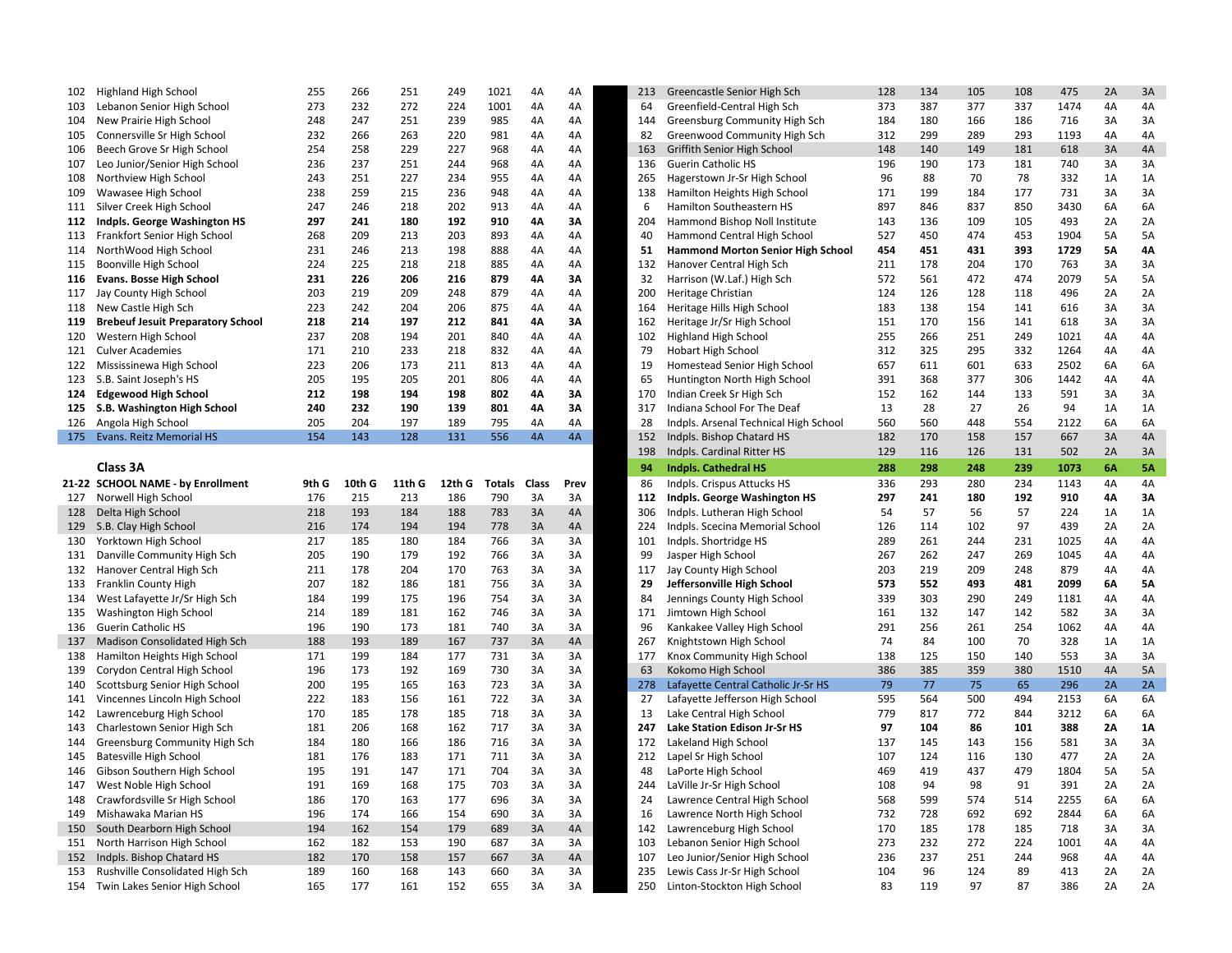| 102 | Highland High School                     | 255   | 266    | 251    | 249    | 1021   | 4A             | 4A             | 213 | Greencastle Senior High Sch              | 128 | 134 | 105            | 108            | 475  | 2A         | 3A             |
|-----|------------------------------------------|-------|--------|--------|--------|--------|----------------|----------------|-----|------------------------------------------|-----|-----|----------------|----------------|------|------------|----------------|
| 103 | Lebanon Senior High School               | 273   | 232    | 272    | 224    | 1001   | 4A             | 4A             | 64  | Greenfield-Central High Sch              | 373 | 387 | 377            | 337            | 1474 | 4A         | 4A             |
| 104 | New Prairie High School                  | 248   | 247    | 251    | 239    | 985    | 4A             | 4A             | 144 | Greensburg Community High Sch            | 184 | 180 | 166            | 186            | 716  | 3A         | 3A             |
| 105 | Connersville Sr High School              | 232   | 266    | 263    | 220    | 981    | 4A             | 4A             | 82  | Greenwood Community High Sch             | 312 | 299 | 289            | 293            | 1193 | 4A         | 4A             |
| 106 | Beech Grove Sr High School               | 254   | 258    | 229    | 227    | 968    | 4A             | 4A             | 163 | Griffith Senior High School              | 148 | 140 | 149            | 181            | 618  | 3A         | 4A             |
| 107 | Leo Junior/Senior High School            | 236   | 237    | 251    | 244    | 968    | 4A             | 4A             | 136 | <b>Guerin Catholic HS</b>                | 196 | 190 | 173            | 181            | 740  | 3A         | 3A             |
| 108 | Northview High School                    | 243   | 251    | 227    | 234    | 955    | 4A             | 4A             | 265 | Hagerstown Jr-Sr High School             | 96  | 88  | 70             | 78             | 332  | 1A         | 1A             |
| 109 | Wawasee High School                      | 238   | 259    | 215    | 236    | 948    | 4A             | 4A             | 138 | Hamilton Heights High School             | 171 | 199 | 184            | 177            | 731  | 3A         | 3A             |
| 111 | Silver Creek High School                 | 247   | 246    | 218    | 202    | 913    | 4A             | 4A             | 6   | Hamilton Southeastern HS                 | 897 | 846 | 837            | 850            | 3430 | 6A         | 6A             |
| 112 | Indpls. George Washington HS             | 297   | 241    | 180    | 192    | 910    | 4Α             | 3A             | 204 | Hammond Bishop Noll Institute            | 143 | 136 | 109            | 105            | 493  | 2A         | 2A             |
| 113 | Frankfort Senior High School             | 268   | 209    | 213    | 203    | 893    |                | 4A             | 40  | Hammond Central High School              | 527 | 450 | 474            | 453            | 1904 | 5A         | 5A             |
|     |                                          |       |        |        |        |        | 4A             |                |     |                                          |     |     |                |                |      |            |                |
| 114 | NorthWood High School                    | 231   | 246    | 213    | 198    | 888    | 4A             | 4A             | 51  | <b>Hammond Morton Senior High School</b> | 454 | 451 | 431            | 393            | 1729 | 5A         | 4Α             |
| 115 | Boonville High School                    | 224   | 225    | 218    | 218    | 885    | 4A             | 4A             | 132 | Hanover Central High Sch                 | 211 | 178 | 204            | 170            | 763  | 3A         | 3A             |
| 116 | <b>Evans. Bosse High School</b>          | 231   | 226    | 206    | 216    | 879    | 4Α             | 3A             | 32  | Harrison (W.Laf.) High Sch               | 572 | 561 | 472            | 474            | 2079 | 5A         | 5A             |
| 117 | Jay County High School                   | 203   | 219    | 209    | 248    | 879    | 4A             | 4A             | 200 | Heritage Christian                       | 124 | 126 | 128            | 118            | 496  | 2A         | 2A             |
| 118 | New Castle High Sch                      | 223   | 242    | 204    | 206    | 875    | 4A             | 4A             | 164 | Heritage Hills High School               | 183 | 138 | 154            | 141            | 616  | 3A         | 3A             |
| 119 | <b>Brebeuf Jesuit Preparatory School</b> | 218   | 214    | 197    | 212    | 841    | 4Α             | 3A             | 162 | Heritage Jr/Sr High School               | 151 | 170 | 156            | 141            | 618  | 3A         | 3A             |
| 120 | Western High School                      | 237   | 208    | 194    | 201    | 840    | 4A             | 4A             | 102 | Highland High School                     | 255 | 266 | 251            | 249            | 1021 | 4A         | 4A             |
| 121 | <b>Culver Academies</b>                  | 171   | 210    | 233    | 218    | 832    | 4A             | 4A             | 79  | Hobart High School                       | 312 | 325 | 295            | 332            | 1264 | 4A         | 4A             |
| 122 | Mississinewa High School                 | 223   | 206    | 173    | 211    | 813    | 4A             | 4A             | 19  | Homestead Senior High School             | 657 | 611 | 601            | 633            | 2502 | 6A         | 6A             |
| 123 | S.B. Saint Joseph's HS                   | 205   | 195    | 205    | 201    | 806    | 4A             | 4A             | 65  | Huntington North High School             | 391 | 368 | 377            | 306            | 1442 | 4A         | 4A             |
| 124 | <b>Edgewood High School</b>              | 212   | 198    | 194    | 198    | 802    | 4Α             | ЗΑ             | 170 | Indian Creek Sr High Sch                 | 152 | 162 | 144            | 133            | 591  | 3A         | 3A             |
| 125 | S.B. Washington High School              | 240   | 232    | 190    | 139    | 801    | 4Α             | 3A             | 317 | Indiana School For The Deaf              | 13  | 28  | 27             | 26             | 94   | 1A         | 1A             |
| 126 | Angola High School                       | 205   | 204    | 197    | 189    | 795    | 4A             | 4A             | 28  | Indpls. Arsenal Technical High School    | 560 | 560 | 448            | 554            | 2122 | 6A         | 6A             |
| 175 | Evans. Reitz Memorial HS                 | 154   | 143    | 128    | 131    | 556    | 4A             | 4A             | 152 | Indpls. Bishop Chatard HS                | 182 | 170 | 158            | 157            | 667  | 3A         | 4A             |
|     |                                          |       |        |        |        |        |                |                | 198 | Indpls. Cardinal Ritter HS               | 129 | 116 | 126            | 131            | 502  | 2A         | 3A             |
|     | Class 3A                                 |       |        |        |        |        |                |                | 94  | <b>Indpls. Cathedral HS</b>              | 288 | 298 | 248            | 239            | 1073 | 6A         | <b>5A</b>      |
|     |                                          |       |        |        |        |        |                |                |     |                                          |     | 293 |                |                |      |            |                |
|     | 21-22 SCHOOL NAME - by Enrollment        | 9th G | 10th G | 11th G | 12th G | Totals | Class          | Prev           | 86  | Indpls. Crispus Attucks HS               | 336 |     | 280            | 234            | 1143 | 4A         | 4A             |
| 127 | Norwell High School                      | 176   | 215    | 213    | 186    | 790    | 3A             | 3A             | 112 | Indpls. George Washington HS             | 297 | 241 | 180            | 192            | 910  | 4A         | 3A             |
| 128 | Delta High School                        | 218   | 193    | 184    | 188    | 783    | 3A             | 4A             | 306 | Indpls. Lutheran High School             | 54  | 57  | 56             | 57             | 224  | 1A         | 1A             |
| 129 | S.B. Clay High School                    | 216   | 174    | 194    | 194    | 778    | 3A             | 4A             | 224 | Indpls. Scecina Memorial School          | 126 | 114 | 102            | 97             | 439  | 2A         | 2A             |
| 130 | Yorktown High School                     | 217   | 185    | 180    | 184    | 766    | 3A             | 3A             | 101 | Indpls. Shortridge HS                    | 289 | 261 | 244            | 231            | 1025 | 4A         | 4A             |
| 131 | Danville Community High Sch              | 205   | 190    | 179    | 192    | 766    | 3A             | 3A             | 99  | Jasper High School                       | 267 | 262 | 247            | 269            | 1045 | 4A         | 4A             |
| 132 | Hanover Central High Sch                 | 211   | 178    | 204    | 170    | 763    | 3A             | 3A             | 117 | Jay County High School                   | 203 | 219 | 209            | 248            | 879  | 4A         | 4A             |
| 133 | Franklin County High                     | 207   | 182    | 186    | 181    | 756    | 3A             | 3A             | 29  | Jeffersonville High School               | 573 | 552 | 493            | 481            | 2099 | 6A         | <b>5A</b>      |
| 134 | West Lafayette Jr/Sr High Sch            | 184   | 199    | 175    | 196    | 754    | 3A             | 3A             | 84  | Jennings County High School              | 339 | 303 | 290            | 249            | 1181 | 4A         | 4A             |
| 135 | Washington High School                   | 214   | 189    | 181    | 162    | 746    | 3A             | 3A             | 171 | Jimtown High School                      | 161 | 132 | 147            | 142            | 582  | 3A         | 3A             |
| 136 | <b>Guerin Catholic HS</b>                | 196   | 190    | 173    | 181    | 740    | 3A             | 3A             | 96  | Kankakee Valley High School              | 291 | 256 | 261            | 254            | 1062 | 4A         | 4A             |
| 137 | Madison Consolidated High Sch            | 188   | 193    | 189    | 167    | 737    | 3A             | 4A             | 267 | Knightstown High School                  | 74  | 84  | 100            | 70             | 328  | 1A         | 1A             |
| 138 | Hamilton Heights High School             | 171   | 199    | 184    | 177    | 731    | 3A             | 3A             | 177 | Knox Community High School               | 138 | 125 | 150            | 140            | 553  | 3A         | 3A             |
| 139 | Corydon Central High School              | 196   | 173    | 192    | 169    | 730    | 3A             | 3A             | 63  | Kokomo High School                       | 386 | 385 | 359            | 380            | 1510 | 4A         | 5A             |
| 140 | Scottsburg Senior High School            | 200   | 195    | 165    | 163    | 723    | 3A             | 3A             | 278 | Lafayette Central Catholic Jr-Sr HS      | 79  | 77  | 75             | 65             | 296  | 2A         | 2A             |
| 141 | Vincennes Lincoln High School            | 222   | 183    | 156    | 161    | 722    | 3A             | 3A             | 27  | Lafayette Jefferson High School          | 595 | 564 | 500            | 494            | 2153 | 6A         | 6A             |
| 142 | Lawrenceburg High School                 | 170   | 185    | 178    | 185    | 718    | 3A             | 3A             | 13  | Lake Central High School                 | 779 | 817 | 772            | 844            | 3212 | 6A         | 6A             |
| 143 | Charlestown Senior High Sch              | 181   | 206    | 168    | 162    | 717    | 3A             | 3A             | 247 | Lake Station Edison Jr-Sr HS             | 97  | 104 | 86             | 101            | 388  | 2A         | 1A             |
| 144 | Greensburg Community High Sch            | 184   | 180    | 166    | 186    | 716    | 3A             | 3A             | 172 | Lakeland High School                     | 137 | 145 | 143            | 156            | 581  | 3A         | 3A             |
| 145 | Batesville High School                   | 181   | 176    | 183    | 171    | 711    | 3A             | 3A             |     | 212 Lapel Sr High School                 | 107 | 124 | 116            | 130            | 477  | 2A         | 2A             |
| 146 | Gibson Southern High School              | 195   | 191    | 147    | 171    | 704    | 3A             | 3A             | 48  | LaPorte High School                      | 469 | 419 | 437            | 479            | 1804 | 5A         | 5A             |
|     |                                          |       | 169    |        |        |        |                |                |     |                                          |     | 94  |                | 91             |      |            |                |
| 147 | West Noble High School                   | 191   |        | 168    | 175    | 703    | 3A             | 3A             | 244 | LaVille Jr-Sr High School                | 108 |     | 98             |                | 391  | 2A         | 2A             |
| 148 | Crawfordsville Sr High School            | 186   | 170    | 163    | 177    | 696    | 3A             | 3A             | 24  | Lawrence Central High School             | 568 | 599 | 574            | 514            | 2255 | 6A         | 6A             |
| 149 | Mishawaka Marian HS                      | 196   | 174    | 166    | 154    | 690    | 3A             | 3A             | 16  | Lawrence North High School               | 732 | 728 | 692            | 692            | 2844 | 6A         | 6A             |
| 150 | South Dearborn High School               | 194   | 162    | 154    | 179    | 689    | 3A             | 4A             | 142 | Lawrenceburg High School                 | 170 | 185 | 178            | 185            | 718  | 3A         | 3A             |
| 151 | North Harrison High School               | 162   | 182    | 153    | 190    | 687    | 3A             | 3A             | 103 | Lebanon Senior High School               | 273 | 232 | 272            | 224            | 1001 | 4A         | 4A             |
| 152 | Indpls. Bishop Chatard HS                | 182   | 170    | 158    | 157    | 667    | 3A             | 4A             | 107 | Leo Junior/Senior High School            | 236 | 237 | 251            | 244            | 968  | 4A         | 4A             |
|     | 153 Rushville Consolidated High Sch      | 189   | 160    | 168    | 143    | 660    | 3A             | 3A             |     | 235 Lewis Cass Jr-Sr High School         | 104 | 96  | 124            | 89             | 413  | 2A         | 2A             |
|     | 154 Twin Lakes Senior High School        | 165   | 177    | 161    | 152    | 655    | 2 <sub>0</sub> | 2 <sub>A</sub> |     | 250 Linton-Stockton High School          | 92  | 110 | Q <sub>7</sub> | Q <sub>7</sub> | 286  | $2\Lambda$ | 2 <sub>0</sub> |

| 102 | <b>Highland High School</b>              | 255        | 266        | 251    | 249    | 1021       | 4A    | 4A   | 213 | Greencastle Senior High Sch              | 128        | 134        | 105 | 108 | 475  | 2A | 3A        |
|-----|------------------------------------------|------------|------------|--------|--------|------------|-------|------|-----|------------------------------------------|------------|------------|-----|-----|------|----|-----------|
| 103 | Lebanon Senior High School               | 273        | 232        | 272    | 224    | 1001       | 4A    | 4A   | 64  | Greenfield-Central High Sch              | 373        | 387        | 377 | 337 | 1474 | 4A | 4A        |
| 104 | New Prairie High School                  | 248        | 247        | 251    | 239    | 985        | 4A    | 4A   | 144 | Greensburg Community High Sch            | 184        | 180        | 166 | 186 | 716  | 3A | 3A        |
| 105 | Connersville Sr High School              | 232        | 266        | 263    | 220    | 981        | 4A    | 4A   | 82  | Greenwood Community High Sch             | 312        | 299        | 289 | 293 | 1193 | 4A | 4A        |
| 106 | Beech Grove Sr High School               | 254        | 258        | 229    | 227    | 968        | 4A    | 4A   | 163 | Griffith Senior High School              | 148        | 140        | 149 | 181 | 618  | 3A | 4A        |
| 107 | Leo Junior/Senior High School            | 236        | 237        | 251    | 244    | 968        | 4A    | 4A   | 136 | <b>Guerin Catholic HS</b>                | 196        | 190        | 173 | 181 | 740  | 3A | 3A        |
| 108 | Northview High School                    | 243        | 251        | 227    | 234    | 955        | 4A    | 4A   | 265 | Hagerstown Jr-Sr High School             | 96         | 88         | 70  | 78  | 332  | 1A | 1A        |
| 109 | Wawasee High School                      | 238        | 259        | 215    | 236    | 948        | 4A    | 4A   | 138 | Hamilton Heights High School             | 171        | 199        | 184 | 177 | 731  | 3A | 3A        |
|     | 111 Silver Creek High School             | 247        | 246        | 218    | 202    | 913        | 4A    | 4A   | 6   | Hamilton Southeastern HS                 | 897        | 846        | 837 | 850 | 3430 | 6A | 6A        |
| 112 | Indpls. George Washington HS             | 297        | 241        | 180    | 192    | 910        | 4Α    | 3A   | 204 | Hammond Bishop Noll Institute            | 143        | 136        | 109 | 105 | 493  | 2A | 2A        |
| 113 | Frankfort Senior High School             | 268        | 209        | 213    | 203    | 893        | 4A    | 4A   | 40  | Hammond Central High School              | 527        | 450        | 474 | 453 | 1904 | 5A | 5A        |
|     |                                          |            |            |        |        |            |       |      |     |                                          |            |            | 431 | 393 |      |    |           |
| 114 | NorthWood High School                    | 231<br>224 | 246<br>225 | 213    | 198    | 888<br>885 | 4A    | 4A   | 51  | <b>Hammond Morton Senior High School</b> | 454<br>211 | 451<br>178 | 204 |     | 1729 | 5A | 4A        |
| 115 | Boonville High School                    |            |            | 218    | 218    |            | 4A    | 4A   | 132 | Hanover Central High Sch                 |            |            |     | 170 | 763  | 3A | 3A        |
| 116 | <b>Evans. Bosse High School</b>          | 231        | 226        | 206    | 216    | 879        | 4A    | 3A   | 32  | Harrison (W.Laf.) High Sch               | 572        | 561        | 472 | 474 | 2079 | 5A | 5A        |
| 117 | Jay County High School                   | 203        | 219        | 209    | 248    | 879        | 4A    | 4A   | 200 | Heritage Christian                       | 124        | 126        | 128 | 118 | 496  | 2A | 2A        |
|     | 118 New Castle High Sch                  | 223        | 242        | 204    | 206    | 875        | 4A    | 4A   | 164 | Heritage Hills High School               | 183        | 138        | 154 | 141 | 616  | 3A | 3A        |
| 119 | <b>Brebeuf Jesuit Preparatory School</b> | 218        | 214        | 197    | 212    | 841        | 4A    | 3A   | 162 | Heritage Jr/Sr High School               | 151        | 170        | 156 | 141 | 618  | 3A | 3A        |
| 120 | Western High School                      | 237        | 208        | 194    | 201    | 840        | 4A    | 4A   | 102 | <b>Highland High School</b>              | 255        | 266        | 251 | 249 | 1021 | 4A | 4A        |
|     | 121 Culver Academies                     | 171        | 210        | 233    | 218    | 832        | 4A    | 4A   | 79  | Hobart High School                       | 312        | 325        | 295 | 332 | 1264 | 4A | 4A        |
| 122 | Mississinewa High School                 | 223        | 206        | 173    | 211    | 813        | 4A    | 4A   | 19  | Homestead Senior High School             | 657        | 611        | 601 | 633 | 2502 | 6A | 6A        |
| 123 | S.B. Saint Joseph's HS                   | 205        | 195        | 205    | 201    | 806        | 4A    | 4A   | 65  | Huntington North High School             | 391        | 368        | 377 | 306 | 1442 | 4A | 4A        |
|     | 124 Edgewood High School                 | 212        | 198        | 194    | 198    | 802        | 4Α    | 3A   | 170 | Indian Creek Sr High Sch                 | 152        | 162        | 144 | 133 | 591  | 3A | 3A        |
| 125 | S.B. Washington High School              | 240        | 232        | 190    | 139    | 801        | 4A    | 3A   | 317 | Indiana School For The Deaf              | 13         | 28         | 27  | 26  | 94   | 1A | 1A        |
| 126 | Angola High School                       | 205        | 204        | 197    | 189    | 795        | 4A    | 4A   | 28  | Indpls. Arsenal Technical High School    | 560        | 560        | 448 | 554 | 2122 | 6A | 6A        |
|     | 175 Evans. Reitz Memorial HS             | 154        | 143        | 128    | 131    | 556        | 4A    | 4A   | 152 | Indpls. Bishop Chatard HS                | 182        | 170        | 158 | 157 | 667  | 3A | 4A        |
|     |                                          |            |            |        |        |            |       |      | 198 | Indpls. Cardinal Ritter HS               | 129        | 116        | 126 | 131 | 502  | 2A | 3A        |
|     | Class 3A                                 |            |            |        |        |            |       |      | 94  | <b>Indpls. Cathedral HS</b>              | 288        | 298        | 248 | 239 | 1073 | 6A | <b>5A</b> |
|     |                                          |            |            |        |        |            |       |      |     |                                          |            |            |     |     |      |    |           |
|     | 1-22 SCHOOL NAME - by Enrollment         | 9th G      | 10th G     | 11th G | 12th G | Totals     | Class | Prev | 86  | Indpls. Crispus Attucks HS               | 336        | 293        | 280 | 234 | 1143 | 4A | 4A        |
|     | 127 Norwell High School                  | 176        | 215        | 213    | 186    | 790        | 3A    | 3A   | 112 | Indpls. George Washington HS             | 297        | 241        | 180 | 192 | 910  | 4Α | 3A        |
|     | 128 Delta High School                    | 218        | 193        | 184    | 188    | 783        | 3A    | 4A   | 306 | Indpls. Lutheran High School             | 54         | 57         | 56  | 57  | 224  | 1A | 1A        |
|     |                                          | 216        | 174        | 194    | 194    | 778        | 3A    | 4A   | 224 |                                          | 126        | 114        | 102 | 97  | 439  | 2A | 2A        |
|     | 129 S.B. Clay High School                | 217        | 185        | 180    |        | 766        |       | 3A   | 101 | Indpls. Scecina Memorial School          | 289        | 261        | 244 | 231 | 1025 | 4A |           |
|     | 130 Yorktown High School                 |            |            |        | 184    |            | 3A    |      |     | Indpls. Shortridge HS                    |            |            |     |     |      |    | 4A        |
|     | 131 Danville Community High Sch          | 205        | 190        | 179    | 192    | 766        | 3A    | 3A   | 99  | Jasper High School                       | 267        | 262        | 247 | 269 | 1045 | 4A | 4A        |
|     | 132 Hanover Central High Sch             | 211        | 178        | 204    | 170    | 763        | 3A    | 3A   | 117 | Jay County High School                   | 203        | 219        | 209 | 248 | 879  | 4A | 4A        |
| 133 | Franklin County High                     | 207        | 182        | 186    | 181    | 756        | 3A    | 3A   | 29  | Jeffersonville High School               | 573        | 552        | 493 | 481 | 2099 | 6А | <b>5A</b> |
| 134 | West Lafayette Jr/Sr High Sch            | 184        | 199        | 175    | 196    | 754        | 3A    | 3A   | 84  | Jennings County High School              | 339        | 303        | 290 | 249 | 1181 | 4A | 4A        |
| 135 | Washington High School                   | 214        | 189        | 181    | 162    | 746        | 3A    | 3A   | 171 | Jimtown High School                      | 161        | 132        | 147 | 142 | 582  | 3A | 3A        |
|     | 136 Guerin Catholic HS                   | 196        | 190        | 173    | 181    | 740        | 3A    | 3A   | 96  | Kankakee Valley High School              | 291        | 256        | 261 | 254 | 1062 | 4A | 4A        |
|     | 137 Madison Consolidated High Sch        | 188        | 193        | 189    | 167    | 737        | 3A    | 4A   | 267 | Knightstown High School                  | 74         | 84         | 100 | 70  | 328  | 1A | 1A        |
| 138 | Hamilton Heights High School             | 171        | 199        | 184    | 177    | 731        | 3A    | 3A   | 177 | Knox Community High School               | 138        | 125        | 150 | 140 | 553  | 3A | 3A        |
| 139 | Corydon Central High School              | 196        | 173        | 192    | 169    | 730        | 3A    | 3A   | 63  | Kokomo High School                       | 386        | 385        | 359 | 380 | 1510 | 4A | 5A        |
| 140 | Scottsburg Senior High School            | 200        | 195        | 165    | 163    | 723        | 3A    | 3A   | 278 | Lafayette Central Catholic Jr-Sr HS      | 79         | 77         | 75  | 65  | 296  | 2A | 2A        |
| 141 | Vincennes Lincoln High School            | 222        | 183        | 156    | 161    | 722        | 3A    | 3A   | 27  | Lafayette Jefferson High School          | 595        | 564        | 500 | 494 | 2153 | 6A | 6A        |
| 142 | Lawrenceburg High School                 | 170        | 185        | 178    | 185    | 718        | 3A    | 3A   | 13  | Lake Central High School                 | 779        | 817        | 772 | 844 | 3212 | 6A | 6A        |
| 143 | Charlestown Senior High Sch              | 181        | 206        | 168    | 162    | 717        | 3A    | 3A   | 247 | Lake Station Edison Jr-Sr HS             | 97         | 104        | 86  | 101 | 388  | 2A | 1A        |
| 144 | Greensburg Community High Sch            | 184        | 180        | 166    | 186    | 716        | 3A    | 3A   | 172 | Lakeland High School                     | 137        | 145        | 143 | 156 | 581  | 3A | 3A        |
| 145 | <b>Batesville High School</b>            | 181        | 176        | 183    | 171    | 711        | 3A    | 3A   | 212 | Lapel Sr High School                     | 107        | 124        | 116 | 130 | 477  | 2A | 2A        |
| 146 | Gibson Southern High School              | 195        | 191        | 147    | 171    | 704        | 3A    | 3A   | 48  | LaPorte High School                      | 469        | 419        | 437 | 479 | 1804 | 5A | 5A        |
| 147 | West Noble High School                   | 191        | 169        | 168    | 175    | 703        | 3A    | 3A   | 244 | LaVille Jr-Sr High School                | 108        | 94         | 98  | 91  | 391  | 2A | 2A        |
| 148 | Crawfordsville Sr High School            | 186        | 170        | 163    | 177    | 696        | 3A    | 3A   | 24  | Lawrence Central High School             | 568        | 599        | 574 | 514 | 2255 | 6A | 6A        |
| 149 | Mishawaka Marian HS                      | 196        | 174        | 166    | 154    | 690        | 3A    | 3A   | 16  | Lawrence North High School               | 732        | 728        | 692 | 692 | 2844 | 6A | 6A        |
|     | 150 South Dearborn High School           | 194        | 162        | 154    | 179    | 689        | 3A    | 4A   | 142 | Lawrenceburg High School                 | 170        | 185        | 178 | 185 | 718  | 3A | 3A        |
| 151 | North Harrison High School               | 162        | 182        | 153    | 190    | 687        | 3A    | 3A   | 103 | Lebanon Senior High School               | 273        | 232        | 272 | 224 | 1001 | 4A | 4A        |
|     | 152 Indpls. Bishop Chatard HS            | 182        | 170        | 158    | 157    | 667        | 3A    | 4A   | 107 | Leo Junior/Senior High School            | 236        | 237        | 251 | 244 | 968  | 4A | 4A        |
|     | 153 Rushville Consolidated High Sch      | 189        | 160        | 168    | 143    | 660        | 3A    | 3A   | 235 | Lewis Cass Jr-Sr High School             | 104        | 96         | 124 | 89  | 413  | 2A | 2A        |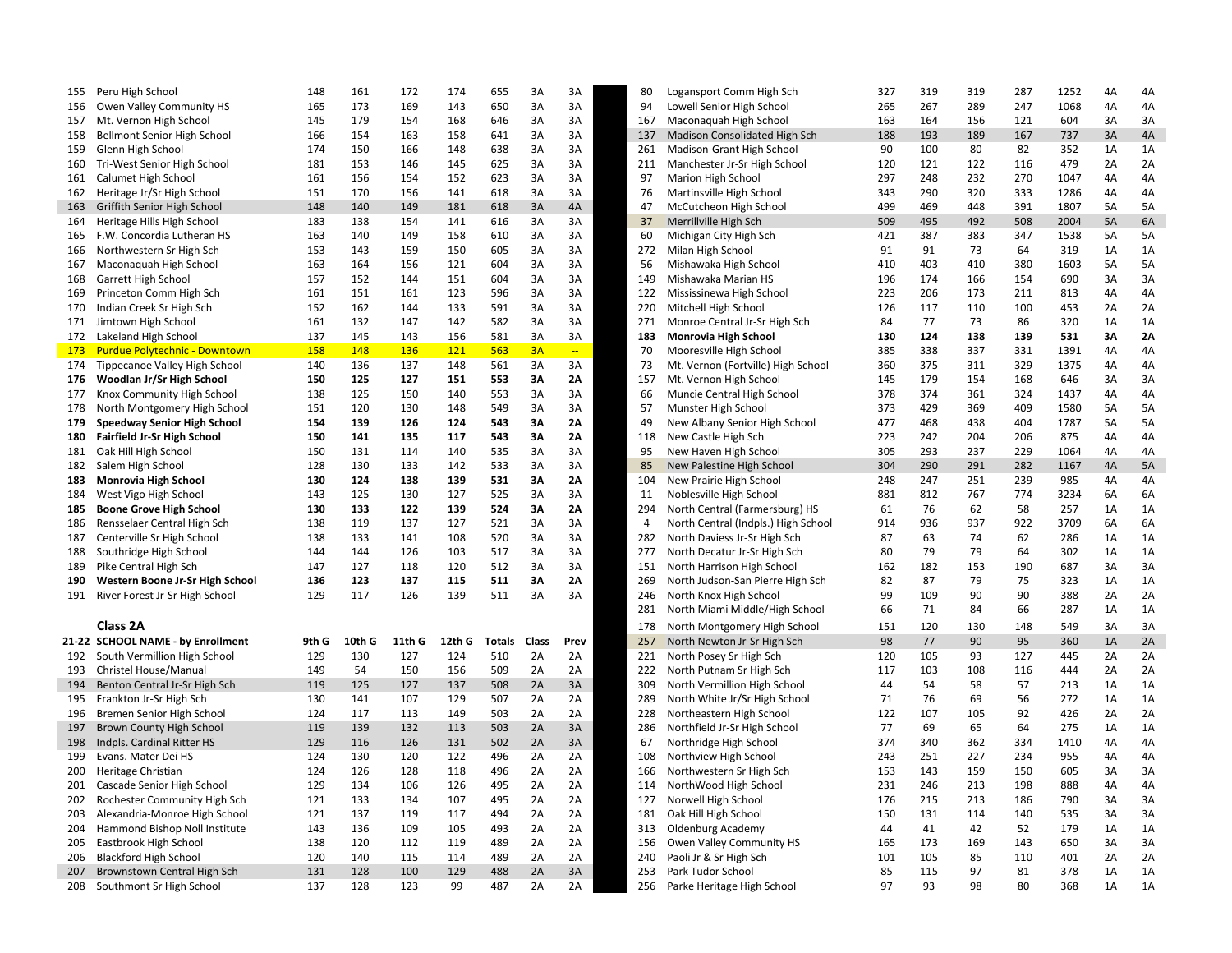| 155 | Peru High School                     | 148   | 161    | 172    | 174    | 655    | 3A    | 3A       | 80             | Logansport Comm High Sch            | 327       | 319 | 319 | 287      | 1252 | 4A | 4A |
|-----|--------------------------------------|-------|--------|--------|--------|--------|-------|----------|----------------|-------------------------------------|-----------|-----|-----|----------|------|----|----|
| 156 | Owen Valley Community HS             | 165   | 173    | 169    | 143    | 650    | 3A    | 3A       | 94             | Lowell Senior High School           | 265       | 267 | 289 | 247      | 1068 | 4A | 4A |
| 157 | Mt. Vernon High School               | 145   | 179    | 154    | 168    | 646    | 3A    | 3A       | 167            | Maconaquah High School              | 163       | 164 | 156 | 121      | 604  | 3A | 3A |
| 158 | Bellmont Senior High School          | 166   | 154    | 163    | 158    | 641    | 3A    | 3A       | 137            | Madison Consolidated High Sch       | 188       | 193 | 189 | 167      | 737  | 3A | 4A |
| 159 | Glenn High School                    | 174   | 150    | 166    | 148    | 638    | 3A    | 3A       | 261            | Madison-Grant High School           | 90        | 100 | 80  | 82       | 352  | 1A | 1A |
| 160 | Tri-West Senior High School          | 181   | 153    | 146    | 145    | 625    | 3A    | 3A       | 211            | Manchester Jr-Sr High School        | 120       | 121 | 122 | 116      | 479  | 2A | 2A |
| 161 | Calumet High School                  | 161   | 156    | 154    | 152    | 623    | 3A    | 3A       | 97             | Marion High School                  | 297       | 248 | 232 | 270      | 1047 | 4A | 4A |
| 162 | Heritage Jr/Sr High School           | 151   | 170    | 156    | 141    | 618    | 3A    | 3A       | 76             | Martinsville High School            | 343       | 290 | 320 | 333      | 1286 | 4A | 4A |
| 163 | Griffith Senior High School          | 148   | 140    | 149    | 181    | 618    | 3A    | 4A       | 47             | McCutcheon High School              | 499       | 469 | 448 | 391      | 1807 | 5A | 5A |
| 164 | Heritage Hills High School           | 183   | 138    | 154    | 141    | 616    | 3A    | 3A       | 37             | Merrillville High Sch               | 509       | 495 | 492 | 508      | 2004 | 5A | 6A |
| 165 | F.W. Concordia Lutheran HS           | 163   | 140    | 149    | 158    | 610    | 3A    | 3A       | 60             | Michigan City High Sch              | 421       | 387 | 383 | 347      | 1538 | 5A | 5A |
| 166 | Northwestern Sr High Sch             | 153   | 143    | 159    | 150    | 605    | 3A    | 3A       | 272            | Milan High School                   | 91        | 91  | 73  | 64       | 319  | 1A | 1A |
| 167 | Maconaguah High School               | 163   | 164    | 156    | 121    | 604    | 3A    | 3A       | 56             | Mishawaka High School               | 410       | 403 | 410 | 380      | 1603 | 5A | 5A |
| 168 | Garrett High School                  | 157   | 152    | 144    | 151    | 604    | 3A    | 3A       | 149            | Mishawaka Marian HS                 | 196       | 174 | 166 | 154      | 690  | 3A | 3A |
| 169 | Princeton Comm High Sch              | 161   | 151    | 161    | 123    | 596    | 3A    | 3A       | 122            | Mississinewa High School            | 223       | 206 | 173 | 211      | 813  | 4A | 4A |
| 170 | Indian Creek Sr High Sch             | 152   | 162    | 144    | 133    | 591    | 3A    | 3A       | 220            | Mitchell High School                | 126       | 117 | 110 | 100      | 453  | 2A | 2A |
| 171 | Jimtown High School                  | 161   | 132    | 147    | 142    | 582    | 3A    | 3A       | 271            | Monroe Central Jr-Sr High Sch       | 84        | 77  | 73  | 86       | 320  | 1A | 1A |
|     |                                      | 137   |        |        |        |        |       |          | 183            |                                     | 130       | 124 |     | 139      | 531  |    | 2A |
|     | 172 Lakeland High School             | 158   | 145    | 143    | 156    | 581    | 3A    | 3A<br>÷, |                | Monrovia High School                |           | 338 | 138 |          |      | 3A |    |
| 173 | <b>Purdue Polytechnic - Downtown</b> |       | 148    | 136    | 121    | 563    | 3A    |          | 70             | Mooresville High School             | 385       |     | 337 | 331      | 1391 | 4A | 4A |
| 174 | Tippecanoe Valley High School        | 140   | 136    | 137    | 148    | 561    | 3A    | 3A       | 73             | Mt. Vernon (Fortville) High School  | 360       | 375 | 311 | 329      | 1375 | 4A | 4A |
|     | 176 Woodlan Jr/Sr High School        | 150   | 125    | 127    | 151    | 553    | 3A    | 2A       | 157            | Mt. Vernon High School              | 145       | 179 | 154 | 168      | 646  | 3A | 3A |
| 177 | Knox Community High School           | 138   | 125    | 150    | 140    | 553    | 3A    | 3A       | 66             | Muncie Central High School          | 378       | 374 | 361 | 324      | 1437 | 4A | 4A |
| 178 | North Montgomery High School         | 151   | 120    | 130    | 148    | 549    | 3A    | 3A       | 57             | Munster High School                 | 373       | 429 | 369 | 409      | 1580 | 5A | 5A |
| 179 | <b>Speedway Senior High School</b>   | 154   | 139    | 126    | 124    | 543    | 3A    | 2A       | 49             | New Albany Senior High School       | 477       | 468 | 438 | 404      | 1787 | 5A | 5A |
| 180 | Fairfield Jr-Sr High School          | 150   | 141    | 135    | 117    | 543    | 3A    | 2A       | 118            | New Castle High Sch                 | 223       | 242 | 204 | 206      | 875  | 4A | 4A |
| 181 | Oak Hill High School                 | 150   | 131    | 114    | 140    | 535    | 3A    | 3A       | 95             | New Haven High School               | 305       | 293 | 237 | 229      | 1064 | 4A | 4A |
| 182 | Salem High School                    | 128   | 130    | 133    | 142    | 533    | 3A    | 3A       | 85             | New Palestine High School           | 304       | 290 | 291 | 282      | 1167 | 4A | 5A |
| 183 | <b>Monrovia High School</b>          | 130   | 124    | 138    | 139    | 531    | 3A    | 2A       | 104            | New Prairie High School             | 248       | 247 | 251 | 239      | 985  | 4A | 4A |
| 184 | West Vigo High School                | 143   | 125    | 130    | 127    | 525    | 3A    | 3A       | 11             | Noblesville High School             | 881       | 812 | 767 | 774      | 3234 | 6A | 6A |
| 185 | <b>Boone Grove High School</b>       | 130   | 133    | 122    | 139    | 524    | 3A    | 2A       | 294            | North Central (Farmersburg) HS      | 61        | 76  | 62  | 58       | 257  | 1A | 1A |
| 186 | Rensselaer Central High Sch          | 138   | 119    | 137    | 127    | 521    | 3A    | 3A       | $\overline{4}$ | North Central (Indpls.) High School | 914       | 936 | 937 | 922      | 3709 | 6A | 6A |
| 187 | Centerville Sr High School           | 138   | 133    | 141    | 108    | 520    | 3A    | 3A       | 282            | North Daviess Jr-Sr High Sch        | 87        | 63  | 74  | 62       | 286  | 1A | 1A |
| 188 | Southridge High School               | 144   | 144    | 126    | 103    | 517    | 3A    | 3A       | 277            | North Decatur Jr-Sr High Sch        | 80        | 79  | 79  | 64       | 302  | 1A | 1A |
| 189 | Pike Central High Sch                | 147   | 127    | 118    | 120    | 512    | 3A    | 3A       | 151            | North Harrison High School          | 162       | 182 | 153 | 190      | 687  | 3A | 3A |
| 190 | Western Boone Jr-Sr High School      | 136   | 123    | 137    | 115    | 511    | ЗΑ    | 2A       | 269            | North Judson-San Pierre High Sch    | 82        | 87  | 79  | 75       | 323  | 1A | 1A |
|     | 191 River Forest Jr-Sr High School   | 129   | 117    | 126    | 139    | 511    | 3A    | 3A       | 246            | North Knox High School              | 99        | 109 | 90  | 90       | 388  | 2A | 2A |
|     |                                      |       |        |        |        |        |       |          | 281            | North Miami Middle/High School      | 66        | 71  | 84  | 66       | 287  | 1A | 1A |
|     | Class 2A                             |       |        |        |        |        |       |          | 178            | North Montgomery High School        | 151       | 120 | 130 | 148      | 549  | 3A | 3A |
|     | 21-22 SCHOOL NAME - by Enrollment    | 9th G | 10th G | 11th G | 12th G | Totals | Class | Prev     | 257            | North Newton Jr-Sr High Sch         | 98        | 77  | 90  | 95       | 360  | 1A | 2A |
| 192 | South Vermillion High School         | 129   | 130    | 127    | 124    | 510    | 2A    | 2A       | 221            | North Posey Sr High Sch             | 120       | 105 | 93  | 127      | 445  | 2A | 2A |
| 193 | Christel House/Manual                | 149   | 54     | 150    | 156    | 509    | 2A    | 2A       | 222            | North Putnam Sr High Sch            | 117       | 103 | 108 | 116      | 444  | 2A | 2A |
| 194 | Benton Central Jr-Sr High Sch        | 119   | 125    | 127    | 137    | 508    | 2A    | 3A       | 309            | North Vermillion High School        | 44        | 54  | 58  | 57       | 213  | 1A | 1A |
|     |                                      | 130   | 141    |        | 129    |        |       | 2A       | 289            | North White Jr/Sr High School       |           | 76  | 69  |          | 272  | 1A | 1A |
| 195 | Frankton Jr-Sr High Sch              | 124   | 117    | 107    | 149    | 507    | 2A    |          | 228            |                                     | 71<br>122 | 107 |     | 56<br>92 | 426  |    | 2A |
| 196 | Bremen Senior High School            |       |        | 113    |        | 503    | 2A    | 2A       |                | Northeastern High School            |           |     | 105 |          |      | 2A |    |
| 197 | <b>Brown County High School</b>      | 119   | 139    | 132    | 113    | 503    | 2A    | 3A       | 286            | Northfield Jr-Sr High School        | 77        | 69  | 65  | 64       | 275  | 1A | 1A |
| 198 | Indpls. Cardinal Ritter HS           | 129   | 116    | 126    | 131    | 502    | 2A    | 3A       | 67             | Northridge High School              | 374       | 340 | 362 | 334      | 1410 | 4A | 4A |
| 199 | Evans. Mater Dei HS                  | 124   | 130    | 120    | 122    | 496    | 2A    | 2A       | 108            | Northview High School               | 243       | 251 | 227 | 234      | 955  | 4A | 4A |
| 200 | Heritage Christian                   | 124   | 126    | 128    | 118    | 496    | 2A    | 2A       | 166            | Northwestern Sr High Sch            | 153       | 143 | 159 | 150      | 605  | 3A | 3A |
| 201 | Cascade Senior High School           | 129   | 134    | 106    | 126    | 495    | 2A    | 2A       | 114            | NorthWood High School               | 231       | 246 | 213 | 198      | 888  | 4A | 4A |
| 202 | Rochester Community High Sch         | 121   | 133    | 134    | 107    | 495    | 2A    | 2A       | 127            | Norwell High School                 | 176       | 215 | 213 | 186      | 790  | 3A | 3A |
| 203 | Alexandria-Monroe High School        | 121   | 137    | 119    | 117    | 494    | 2A    | 2A       | 181            | Oak Hill High School                | 150       | 131 | 114 | 140      | 535  | 3A | 3A |
| 204 | Hammond Bishop Noll Institute        | 143   | 136    | 109    | 105    | 493    | 2A    | 2A       | 313            | <b>Oldenburg Academy</b>            | 44        | 41  | 42  | 52       | 179  | 1A | 1A |
| 205 | Eastbrook High School                | 138   | 120    | 112    | 119    | 489    | 2A    | 2A       | 156            | Owen Valley Community HS            | 165       | 173 | 169 | 143      | 650  | 3A | 3A |
| 206 | <b>Blackford High School</b>         | 120   | 140    | 115    | 114    | 489    | 2A    | 2A       | 240            | Paoli Jr & Sr High Sch              | 101       | 105 | 85  | 110      | 401  | 2A | 2A |
| 207 | Brownstown Central High Sch          | 131   | 128    | 100    | 129    | 488    | 2A    | 3A       | 253            | Park Tudor School                   | 85        | 115 | 97  | 81       | 378  | 1A | 1A |
|     | 208 Southmont Sr High School         | 137   | 128    | 123    | 99     | 487    | 2A    | 2A       | 256            | Parke Heritage High School          | 97        | 93  | 98  | 80       | 368  | 1A | 1A |
|     |                                      |       |        |        |        |        |       |          |                |                                     |           |     |     |          |      |    |    |

| Peru High School                   | 148        | 161    | 172        | 174                 | 655 | 3A | 3A                       | 80  | Logansport Comm High Sch            | 327 | 319 | 319 | 287 | 1252 | 4A | 4A |
|------------------------------------|------------|--------|------------|---------------------|-----|----|--------------------------|-----|-------------------------------------|-----|-----|-----|-----|------|----|----|
| Owen Valley Community HS           | 165        | 173    | 169        | 143                 | 650 | 3A | 3A                       | 94  | Lowell Senior High School           | 265 | 267 | 289 | 247 | 1068 | 4A | 4A |
| Mt. Vernon High School             | 145        | 179    | 154        | 168                 | 646 | 3A | 3A                       | 167 | Maconaquah High School              | 163 | 164 | 156 | 121 | 604  | 3A | 3A |
| <b>Bellmont Senior High School</b> | 166        | 154    | 163        | 158                 | 641 | 3A | 3A                       | 137 | Madison Consolidated High Sch       | 188 | 193 | 189 | 167 | 737  | 3A | 4A |
| Glenn High School                  | 174        | 150    | 166        | 148                 | 638 | 3A | 3A                       | 261 | Madison-Grant High School           | 90  | 100 | 80  | 82  | 352  | 1A | 1A |
| Tri-West Senior High School        | 181        | 153    | 146        | 145                 | 625 | 3A | 3A                       | 211 | Manchester Jr-Sr High School        | 120 | 121 | 122 | 116 | 479  | 2A | 2A |
| Calumet High School                | 161        | 156    | 154        | 152                 | 623 | 3A | 3A                       | 97  | Marion High School                  | 297 | 248 | 232 | 270 | 1047 | 4A | 4A |
| Heritage Jr/Sr High School         | 151        | 170    | 156        | 141                 | 618 | 3A | 3A                       | 76  | Martinsville High School            | 343 | 290 | 320 | 333 | 1286 | 4A | 4A |
| Griffith Senior High School        | 148        | 140    | 149        | 181                 | 618 | 3A | 4A                       | 47  | McCutcheon High School              | 499 | 469 | 448 | 391 | 1807 | 5A | 5A |
| Heritage Hills High School         | 183        | 138    | 154        | 141                 | 616 | 3A | 3A                       | 37  | Merrillville High Sch               | 509 | 495 | 492 | 508 | 2004 | 5A | 6A |
| F.W. Concordia Lutheran HS         | 163        | 140    | 149        | 158                 | 610 | 3A | 3A                       | 60  | Michigan City High Sch              | 421 | 387 | 383 | 347 | 1538 | 5A | 5A |
| Northwestern Sr High Sch           | 153        | 143    | 159        | 150                 | 605 | 3A | 3A                       | 272 | Milan High School                   | 91  | 91  | 73  | 64  | 319  | 1A | 1A |
| Maconaquah High School             | 163        | 164    | 156        | 121                 | 604 | 3A | 3A                       | 56  | Mishawaka High School               | 410 | 403 | 410 | 380 | 1603 | 5A | 5A |
| Garrett High School                | 157        | 152    | 144        | 151                 | 604 | 3A | 3A                       | 149 | Mishawaka Marian HS                 | 196 | 174 | 166 | 154 | 690  | 3A | 3A |
| Princeton Comm High Sch            | 161        | 151    | 161        | 123                 | 596 | 3A | 3A                       | 122 | Mississinewa High School            | 223 | 206 | 173 | 211 | 813  | 4A | 4A |
| Indian Creek Sr High Sch           | 152        | 162    | 144        | 133                 | 591 | 3A | 3A                       | 220 | Mitchell High School                | 126 | 117 | 110 | 100 | 453  | 2A | 2A |
| Jimtown High School                | 161        | 132    | 147        | 142                 | 582 | 3A | 3A                       | 271 | Monroe Central Jr-Sr High Sch       | 84  | 77  | 73  | 86  | 320  | 1A | 1A |
| Lakeland High School               | 137        | 145    | 143        | 156                 | 581 | 3A | 3A                       | 183 | <b>Monrovia High School</b>         | 130 | 124 | 138 | 139 | 531  | 3A | 2A |
| Purdue Polytechnic - Downtown      | <b>158</b> | 148    | <b>136</b> | 121                 | 563 | 3A | $\overline{\phantom{a}}$ | 70  | Mooresville High School             | 385 | 338 | 337 | 331 | 1391 | 4A | 4A |
| Tippecanoe Valley High School      | 140        | 136    | 137        | 148                 | 561 | 3A | 3A                       | 73  | Mt. Vernon (Fortville) High School  | 360 | 375 | 311 | 329 | 1375 | 4A | 4A |
| Woodlan Jr/Sr High School          | 150        | 125    | 127        | 151                 | 553 | ЗΑ | 2Α                       | 157 | Mt. Vernon High School              | 145 | 179 | 154 | 168 | 646  | 3A | 3A |
| Knox Community High School         | 138        | 125    | 150        | 140                 | 553 | 3A | 3A                       | 66  | Muncie Central High School          | 378 | 374 | 361 | 324 | 1437 | 4A | 4A |
| North Montgomery High School       | 151        | 120    | 130        | 148                 | 549 | 3A | 3A                       | 57  | Munster High School                 | 373 | 429 | 369 | 409 | 1580 | 5A | 5A |
| Speedway Senior High School        | 154        | 139    | 126        | 124                 | 543 | ЗΑ | 2A                       | 49  | New Albany Senior High School       | 477 | 468 | 438 | 404 | 1787 | 5A | 5A |
| Fairfield Jr-Sr High School        | 150        | 141    | 135        | 117                 | 543 | 3A | 2A                       | 118 | New Castle High Sch                 | 223 | 242 | 204 | 206 | 875  | 4A | 4A |
| Oak Hill High School               | 150        | 131    | 114        | 140                 | 535 | 3A | 3A                       | 95  | New Haven High School               | 305 | 293 | 237 | 229 | 1064 | 4A | 4A |
| Salem High School                  | 128        | 130    | 133        | 142                 | 533 | 3A | 3A                       | 85  | New Palestine High School           | 304 | 290 | 291 | 282 | 1167 | 4A | 5A |
| Monrovia High School               | 130        | 124    | 138        | 139                 | 531 | ЗΑ | 2A                       | 104 | New Prairie High School             | 248 | 247 | 251 | 239 | 985  | 4A | 4Α |
| West Vigo High School              | 143        | 125    | 130        | 127                 | 525 | 3A | 3A                       | 11  | Noblesville High School             | 881 | 812 | 767 | 774 | 3234 | 6A | 6A |
| <b>Boone Grove High School</b>     | 130        | 133    | 122        | 139                 | 524 | 3A | 2A                       | 294 | North Central (Farmersburg) HS      | 61  | 76  | 62  | 58  | 257  | 1A | 1A |
| Rensselaer Central High Sch        | 138        | 119    | 137        | 127                 | 521 | 3A | 3A                       | 4   | North Central (Indpls.) High School | 914 | 936 | 937 | 922 | 3709 | 6A | 6A |
| Centerville Sr High School         | 138        | 133    | 141        | 108                 | 520 | 3A | 3A                       | 282 | North Daviess Jr-Sr High Sch        | 87  | 63  | 74  | 62  | 286  | 1A | 1A |
| Southridge High School             | 144        | 144    | 126        | 103                 | 517 | 3A | 3A                       | 277 | North Decatur Jr-Sr High Sch        | 80  | 79  | 79  | 64  | 302  | 1A | 1A |
| Pike Central High Sch              | 147        | 127    | 118        | 120                 | 512 | 3A | 3A                       | 151 | North Harrison High School          | 162 | 182 | 153 | 190 | 687  | 3A | 3A |
| Western Boone Jr-Sr High School    | 136        | 123    | 137        | 115                 | 511 | ЗΑ | 2Α                       | 269 | North Judson-San Pierre High Sch    | 82  | 87  | 79  | 75  | 323  | 1A | 1A |
| River Forest Jr-Sr High School     | 129        | 117    | 126        | 139                 | 511 | 3A | 3A                       | 246 | North Knox High School              | 99  | 109 | 90  | 90  | 388  | 2A | 2A |
|                                    |            |        |            |                     |     |    |                          | 281 | North Miami Middle/High School      | 66  | 71  | 84  | 66  | 287  | 1A | 1A |
| Class 2A                           |            |        |            |                     |     |    |                          | 178 | North Montgomery High School        | 151 | 120 | 130 | 148 | 549  | 3A | 3A |
| <b>SCHOOL NAME - by Enrollment</b> | 9th G      | 10th G | 11th G     | 12th G Totals Class |     |    | Prev                     | 257 | North Newton Jr-Sr High Sch         | 98  | 77  | 90  | 95  | 360  | 1A | 2A |
| South Vermillion High School       | 129        | 130    | 127        | 124                 | 510 | 2A | 2A                       | 221 | North Posey Sr High Sch             | 120 | 105 | 93  | 127 | 445  | 2A | 2A |
| Christel House/Manual              | 149        | 54     | 150        | 156                 | 509 | 2A | 2A                       | 222 | North Putnam Sr High Sch            | 117 | 103 | 108 | 116 | 444  | 2A | 2A |
| Benton Central Jr-Sr High Sch      | 119        | 125    | 127        | 137                 | 508 | 2A | 3A                       | 309 | North Vermillion High School        | 44  | 54  | 58  | 57  | 213  | 1A | 1A |
| Frankton Jr-Sr High Sch            | 130        | 141    | 107        | 129                 | 507 | 2A | 2A                       | 289 | North White Jr/Sr High School       | 71  | 76  | 69  | 56  | 272  | 1A | 1A |
| Bremen Senior High School          | 124        | 117    | 113        | 149                 | 503 | 2A | 2A                       | 228 | Northeastern High School            | 122 | 107 | 105 | 92  | 426  | 2A | 2A |
| Brown County High School           | 119        | 139    | 132        | 113                 | 503 | 2A | 3A                       | 286 | Northfield Jr-Sr High School        | 77  | 69  | 65  | 64  | 275  | 1A | 1A |
| Indpls. Cardinal Ritter HS         | 129        | 116    | 126        | 131                 | 502 | 2A | 3A                       | 67  | Northridge High School              | 374 | 340 | 362 | 334 | 1410 | 4A | 4A |
| Evans. Mater Dei HS                | 124        | 130    | 120        | 122                 | 496 | 2A | 2A                       | 108 | Northview High School               | 243 | 251 | 227 | 234 | 955  | 4A | 4A |
| Heritage Christian                 | 124        | 126    | 128        | 118                 | 496 | 2A | 2A                       | 166 | Northwestern Sr High Sch            | 153 | 143 | 159 | 150 | 605  | 3A | 3A |
| Cascade Senior High School         | 129        | 134    | 106        | 126                 | 495 | 2A | 2A                       | 114 | NorthWood High School               | 231 | 246 | 213 | 198 | 888  | 4A | 4A |
| Rochester Community High Sch       | 121        | 133    | 134        | 107                 | 495 | 2A | 2A                       | 127 | Norwell High School                 | 176 | 215 | 213 | 186 | 790  | 3A | 3A |
| Alexandria-Monroe High School      | 121        | 137    | 119        | 117                 | 494 | 2A | 2A                       | 181 | Oak Hill High School                | 150 | 131 | 114 | 140 | 535  | 3A | 3A |
| Hammond Bishop Noll Institute      | 143        | 136    | 109        | 105                 | 493 | 2A | 2A                       | 313 | <b>Oldenburg Academy</b>            | 44  | 41  | 42  | 52  | 179  | 1A | 1A |
| Eastbrook High School              | 138        | 120    | 112        | 119                 | 489 | 2A | 2A                       | 156 | Owen Valley Community HS            | 165 | 173 | 169 | 143 | 650  | 3A | 3A |
| <b>Blackford High School</b>       | 120        | 140    | 115        | 114                 | 489 | 2A | 2A                       | 240 | Paoli Jr & Sr High Sch              | 101 | 105 | 85  | 110 | 401  | 2A | 2A |
| Brownstown Central High Sch        | 131        | 128    | 100        | 129                 | 488 | 2A | 3A                       | 253 | Park Tudor School                   | 85  | 115 | 97  | 81  | 378  | 1A | 1A |
| Southmont Sr High School           | 137        | 128    | 123        | 99                  | 487 | 2A | 2A                       | 256 | Parke Heritage High School          | 97  | 93  | 98  | 80  | 368  | 1A | 1A |
|                                    |            |        |            |                     |     |    |                          |     |                                     |     |     |     |     |      |    |    |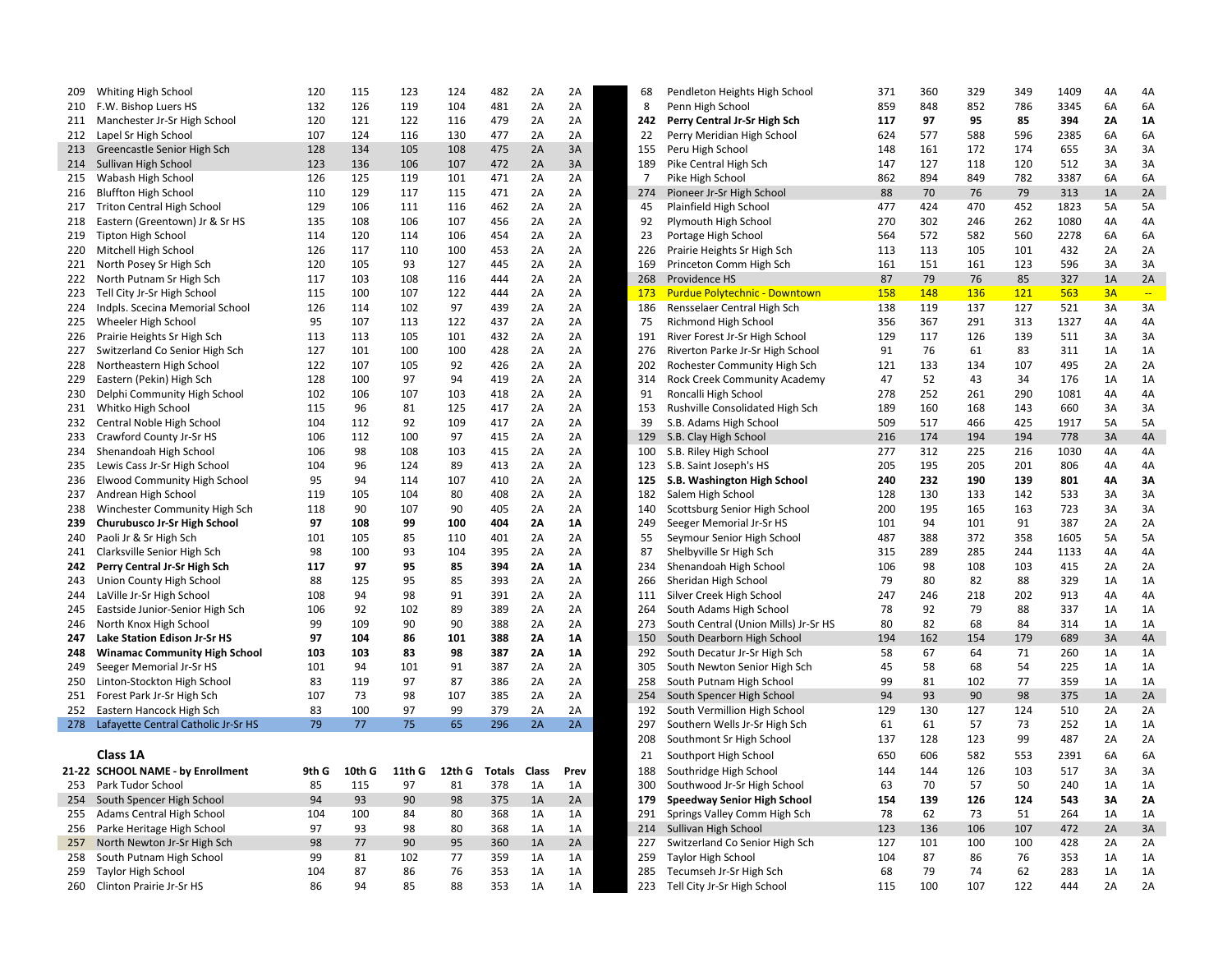| 209 | Whiting High School                     | 120   | 115    | 123    | 124    | 482    | 2A           | 2A   | 68             | Pendleton Heights High School        | 371 | 360 | 329 | 349 | 1409 | 4A | 4A                        |
|-----|-----------------------------------------|-------|--------|--------|--------|--------|--------------|------|----------------|--------------------------------------|-----|-----|-----|-----|------|----|---------------------------|
| 210 | F.W. Bishop Luers HS                    | 132   | 126    | 119    | 104    | 481    | 2A           | 2A   | 8              | Penn High School                     | 859 | 848 | 852 | 786 | 3345 | 6A | 6A                        |
|     | 211 Manchester Jr-Sr High School        | 120   | 121    | 122    | 116    | 479    | 2A           | 2A   | 242            | Perry Central Jr-Sr High Sch         | 117 | 97  | 95  | 85  | 394  | 2A | <b>1A</b>                 |
|     | 212 Lapel Sr High School                | 107   | 124    | 116    | 130    | 477    | 2A           | 2A   | 22             | Perry Meridian High School           | 624 | 577 | 588 | 596 | 2385 | 6A | 6A                        |
|     | 213 Greencastle Senior High Sch         | 128   | 134    | 105    | 108    | 475    | 2A           | 3A   | 155            | Peru High School                     | 148 | 161 | 172 | 174 | 655  | 3A | 3A                        |
| 214 | Sullivan High School                    | 123   | 136    | 106    | 107    | 472    | 2A           | 3A   | 189            | Pike Central High Sch                | 147 | 127 | 118 | 120 | 512  | 3A | 3A                        |
| 215 | Wabash High School                      | 126   | 125    | 119    | 101    | 471    | 2A           | 2A   | $\overline{7}$ | Pike High School                     | 862 | 894 | 849 | 782 | 3387 | 6A | 6A                        |
| 216 | <b>Bluffton High School</b>             | 110   | 129    | 117    | 115    | 471    | 2A           | 2A   | 274            | Pioneer Jr-Sr High School            | 88  | 70  | 76  | 79  | 313  | 1A | 2A                        |
| 217 | <b>Triton Central High School</b>       | 129   | 106    | 111    | 116    | 462    | 2A           | 2A   | 45             | Plainfield High School               | 477 | 424 | 470 | 452 | 1823 | 5A | 5A                        |
| 218 | Eastern (Greentown) Jr & Sr HS          | 135   | 108    | 106    | 107    | 456    | 2A           | 2A   | 92             | Plymouth High School                 | 270 | 302 | 246 | 262 | 1080 | 4A | 4A                        |
| 219 | Tipton High School                      | 114   | 120    | 114    | 106    | 454    | 2A           | 2A   | 23             | Portage High School                  | 564 | 572 | 582 | 560 | 2278 | 6A | 6A                        |
| 220 | Mitchell High School                    | 126   | 117    | 110    | 100    | 453    | 2A           | 2A   | 226            | Prairie Heights Sr High Sch          | 113 | 113 | 105 | 101 | 432  | 2A | 2A                        |
|     | 221 North Posey Sr High Sch             | 120   | 105    | 93     | 127    | 445    | 2A           | 2A   | 169            | Princeton Comm High Sch              | 161 | 151 | 161 | 123 | 596  | 3A | 3A                        |
|     |                                         |       |        |        |        |        |              |      |                |                                      |     |     |     |     |      |    |                           |
|     | 222 North Putnam Sr High Sch            | 117   | 103    | 108    | 116    | 444    | 2A           | 2A   | 268            | Providence HS                        | 87  | 79  | 76  | 85  | 327  | 1A | 2A                        |
| 223 | Tell City Jr-Sr High School             | 115   | 100    | 107    | 122    | 444    | 2A           | 2A   | 173            | <b>Purdue Polytechnic - Downtown</b> | 158 | 148 | 136 | 121 | 563  | 3A | $\mathbb{Z} \mathbb{Z}^n$ |
|     | 224 Indpls. Scecina Memorial School     | 126   | 114    | 102    | 97     | 439    | 2A           | 2A   | 186            | Rensselaer Central High Sch          | 138 | 119 | 137 | 127 | 521  | 3A | 3A                        |
| 225 | Wheeler High School                     | 95    | 107    | 113    | 122    | 437    | 2A           | 2A   | 75             | Richmond High School                 | 356 | 367 | 291 | 313 | 1327 | 4A | 4A                        |
| 226 | Prairie Heights Sr High Sch             | 113   | 113    | 105    | 101    | 432    | 2A           | 2A   | 191            | River Forest Jr-Sr High School       | 129 | 117 | 126 | 139 | 511  | 3A | 3A                        |
| 227 | Switzerland Co Senior High Sch          | 127   | 101    | 100    | 100    | 428    | 2A           | 2A   |                | 276 Riverton Parke Jr-Sr High School | 91  | 76  | 61  | 83  | 311  | 1A | 1A                        |
| 228 | Northeastern High School                | 122   | 107    | 105    | 92     | 426    | 2A           | 2A   | 202            | Rochester Community High Sch         | 121 | 133 | 134 | 107 | 495  | 2A | 2A                        |
| 229 | Eastern (Pekin) High Sch                | 128   | 100    | 97     | 94     | 419    | 2A           | 2A   | 314            | Rock Creek Community Academy         | 47  | 52  | 43  | 34  | 176  | 1A | 1A                        |
| 230 | Delphi Community High School            | 102   | 106    | 107    | 103    | 418    | 2A           | 2A   | 91             | Roncalli High School                 | 278 | 252 | 261 | 290 | 1081 | 4A | 4A                        |
| 231 | Whitko High School                      | 115   | 96     | 81     | 125    | 417    | 2A           | 2A   | 153            | Rushville Consolidated High Sch      | 189 | 160 | 168 | 143 | 660  | 3A | 3A                        |
| 232 | Central Noble High School               | 104   | 112    | 92     | 109    | 417    | 2A           | 2A   | 39             | S.B. Adams High School               | 509 | 517 | 466 | 425 | 1917 | 5A | 5A                        |
|     | 233 Crawford County Jr-Sr HS            | 106   | 112    | 100    | 97     | 415    | 2A           | 2A   | 129            | S.B. Clay High School                | 216 | 174 | 194 | 194 | 778  | 3A | 4A                        |
| 234 | Shenandoah High School                  | 106   | 98     | 108    | 103    | 415    | 2A           | 2A   | 100            | S.B. Riley High School               | 277 | 312 | 225 | 216 | 1030 | 4A | 4A                        |
| 235 | Lewis Cass Jr-Sr High School            | 104   | 96     | 124    | 89     | 413    | 2A           | 2A   | 123            | S.B. Saint Joseph's HS               | 205 | 195 | 205 | 201 | 806  | 4A | 4A                        |
|     | 236 Elwood Community High School        | 95    | 94     | 114    | 107    | 410    | 2A           | 2A   | 125            | S.B. Washington High School          | 240 | 232 | 190 | 139 | 801  | 4A | 3A                        |
| 237 | Andrean High School                     | 119   | 105    | 104    | 80     | 408    | 2A           | 2A   | 182            | Salem High School                    | 128 | 130 | 133 | 142 | 533  | 3A | 3A                        |
| 238 | Winchester Community High Sch           | 118   | 90     | 107    | 90     | 405    | 2A           | 2A   | 140            | Scottsburg Senior High School        | 200 | 195 | 165 | 163 | 723  | 3A | 3A                        |
| 239 | <b>Churubusco Jr-Sr High School</b>     | 97    | 108    | 99     | 100    | 404    | 2A           | 1A   | 249            | Seeger Memorial Jr-Sr HS             | 101 | 94  | 101 | 91  | 387  | 2A | 2A                        |
| 240 | Paoli Jr & Sr High Sch                  | 101   | 105    | 85     | 110    | 401    | 2A           | 2A   | 55             | Seymour Senior High School           | 487 | 388 | 372 | 358 | 1605 | 5A | <b>5A</b>                 |
| 241 | Clarksville Senior High Sch             | 98    | 100    | 93     | 104    | 395    | 2A           | 2A   | 87             | Shelbyville Sr High Sch              | 315 | 289 | 285 | 244 | 1133 | 4A | 4A                        |
|     | 242 Perry Central Jr-Sr High Sch        | 117   | 97     | 95     | 85     | 394    | 2A           | 1A   | 234            | Shenandoah High School               | 106 | 98  | 108 | 103 | 415  | 2A | 2A                        |
| 243 | Union County High School                | 88    | 125    | 95     | 85     | 393    | 2A           | 2A   | 266            | Sheridan High School                 | 79  | 80  | 82  | 88  | 329  | 1A | 1A                        |
| 244 | LaVille Jr-Sr High School               | 108   | 94     | 98     | 91     | 391    | 2A           | 2A   | 111            | Silver Creek High School             | 247 | 246 | 218 | 202 | 913  | 4A | 4A                        |
|     | Eastside Junior-Senior High Sch         | 106   | 92     | 102    | 89     | 389    | 2A           | 2A   | 264            | South Adams High School              | 78  | 92  | 79  | 88  | 337  | 1A | 1A                        |
| 245 | North Knox High School                  | 99    | 109    | 90     | 90     | 388    | 2A           | 2A   | 273            | South Central (Union Mills) Jr-Sr HS | 80  | 82  | 68  | 84  | 314  | 1A | 1A                        |
| 246 |                                         |       |        |        |        |        |              |      |                |                                      |     |     |     |     |      |    |                           |
| 247 | <b>Lake Station Edison Jr-Sr HS</b>     | 97    | 104    | 86     | 101    | 388    | 2Α           | 1A   | 150            | South Dearborn High School           | 194 | 162 | 154 | 179 | 689  | 3A | 4A                        |
| 248 | <b>Winamac Community High School</b>    | 103   | 103    | 83     | 98     | 387    | 2A           | 1A   | 292            | South Decatur Jr-Sr High Sch         | 58  | 67  | 64  | 71  | 260  | 1A | 1A                        |
| 249 | Seeger Memorial Jr-Sr HS                | 101   | 94     | 101    | 91     | 387    | 2A           | 2A   | 305            | South Newton Senior High Sch         | 45  | 58  | 68  | 54  | 225  | 1A | 1A                        |
| 250 | Linton-Stockton High School             | 83    | 119    | 97     | 87     | 386    | 2A           | 2A   | 258            | South Putnam High School             | 99  | 81  | 102 | 77  | 359  | 1A | 1A                        |
| 251 | Forest Park Jr-Sr High Sch              | 107   | 73     | 98     | 107    | 385    | 2A           | 2A   |                | 254 South Spencer High School        | 94  | 93  | 90  | 98  | 375  | 1A | 2A                        |
| 252 | Eastern Hancock High Sch                | 83    | 100    | 97     | 99     | 379    | 2A           | 2A   | 192            | South Vermillion High School         | 129 | 130 | 127 | 124 | 510  | 2A | 2A                        |
|     | 278 Lafayette Central Catholic Jr-Sr HS | 79    | 77     | 75     | 65     | 296    | 2A           | 2A   | 297            | Southern Wells Jr-Sr High Sch        | 61  | 61  | 57  | 73  | 252  | 1A | 1A                        |
|     |                                         |       |        |        |        |        |              |      | 208            | Southmont Sr High School             | 137 | 128 | 123 | 99  | 487  | 2A | 2A                        |
|     | Class 1A                                |       |        |        |        |        |              |      | 21             | Southport High School                | 650 | 606 | 582 | 553 | 2391 | 6A | 6A                        |
|     | 21-22 SCHOOL NAME - by Enrollment       | 9th G | 10th G | 11th G | 12th G | Totals | <b>Class</b> | Prev | 188            | Southridge High School               | 144 | 144 | 126 | 103 | 517  | 3A | 3A                        |
|     | 253 Park Tudor School                   | 85    | 115    | 97     | 81     | 378    | 1A           | 1A   | 300            | Southwood Jr-Sr High School          | 63  | 70  | 57  | 50  | 240  | 1A | 1A                        |
|     | 254 South Spencer High School           | 94    | 93     | 90     | 98     | 375    | 1A           | 2A   | 179            | Speedway Senior High School          | 154 | 139 | 126 | 124 | 543  | 3A | 2A                        |
|     | 255 Adams Central High School           | 104   | 100    | 84     | 80     | 368    | 1A           | 1A   | 291            | Springs Valley Comm High Sch         | 78  | 62  | 73  | 51  | 264  | 1A | 1A                        |
|     | 256 Parke Heritage High School          | 97    | 93     | 98     | 80     | 368    | 1A           | 1A   | 214            | Sullivan High School                 | 123 | 136 | 106 | 107 | 472  | 2A | 3A                        |
| 257 | North Newton Jr-Sr High Sch             | 98    | 77     | 90     | 95     | 360    | 1A           | 2A   | 227            | Switzerland Co Senior High Sch       | 127 | 101 | 100 | 100 | 428  | 2A | 2A                        |
| 258 | South Putnam High School                | 99    | 81     | 102    | 77     | 359    | 1A           | 1A   | 259            | Taylor High School                   | 104 | 87  | 86  | 76  | 353  | 1A | 1A                        |
| 259 | Taylor High School                      | 104   | 87     | 86     | 76     | 353    | 1A           | 1A   | 285            | Tecumseh Jr-Sr High Sch              | 68  | 79  | 74  | 62  | 283  | 1A | 1A                        |
|     | 260 Clinton Prairie Jr-Sr HS            | 86    | 94     | 85     | 88     | 353    | 1A           | 1A   | 223            | Tell City Jr-Sr High School          | 115 | 100 | 107 | 122 | 444  | 2A | 2A                        |
|     |                                         |       |        |        |        |        |              |      |                |                                      |     |     |     |     |      |    |                           |

| Whiting High School                  | 120   | 115    | 123    | 124                 | 482 | 2A | 2A        | 68             | Pendleton Heights High School        | 371 | 360 | 329 | 349 | 1409 | 4A | 4A        |
|--------------------------------------|-------|--------|--------|---------------------|-----|----|-----------|----------------|--------------------------------------|-----|-----|-----|-----|------|----|-----------|
| F.W. Bishop Luers HS                 | 132   | 126    | 119    | 104                 | 481 | 2A | 2A        | 8              | Penn High School                     | 859 | 848 | 852 | 786 | 3345 | 6A | 6A        |
| Manchester Jr-Sr High School         | 120   | 121    | 122    | 116                 | 479 | 2A | 2A        | 242            | Perry Central Jr-Sr High Sch         | 117 | 97  | 95  | 85  | 394  | 2A | 1A        |
| Lapel Sr High School                 | 107   | 124    | 116    | 130                 | 477 | 2A | 2A        | 22             | Perry Meridian High School           | 624 | 577 | 588 | 596 | 2385 | 6A | 6A        |
| Greencastle Senior High Sch          | 128   | 134    | 105    | 108                 | 475 | 2A | 3A        | 155            | Peru High School                     | 148 | 161 | 172 | 174 | 655  | 3A | 3A        |
| Sullivan High School                 | 123   | 136    | 106    | 107                 | 472 | 2A | 3A        | 189            | Pike Central High Sch                | 147 | 127 | 118 | 120 | 512  | 3A | 3A        |
| Wabash High School                   | 126   | 125    | 119    | 101                 | 471 | 2A | 2A        | $\overline{7}$ | Pike High School                     | 862 | 894 | 849 | 782 | 3387 | 6A | 6A        |
| Bluffton High School                 | 110   | 129    | 117    | 115                 | 471 | 2A | 2A        | 274            | Pioneer Jr-Sr High School            | 88  | 70  | 76  | 79  | 313  | 1A | 2A        |
| <b>Triton Central High School</b>    | 129   | 106    | 111    | 116                 | 462 | 2A | 2A        | 45             | Plainfield High School               | 477 | 424 | 470 | 452 | 1823 | 5A | 5A        |
| Eastern (Greentown) Jr & Sr HS       | 135   | 108    | 106    | 107                 | 456 | 2A | 2A        | 92             | Plymouth High School                 | 270 | 302 | 246 | 262 | 1080 | 4A | 4A        |
| Tipton High School                   | 114   | 120    | 114    | 106                 | 454 | 2A | 2A        | 23             | Portage High School                  | 564 | 572 | 582 | 560 | 2278 | 6A | 6A        |
| Mitchell High School                 | 126   | 117    | 110    | 100                 | 453 | 2A | 2A        | 226            | Prairie Heights Sr High Sch          | 113 | 113 | 105 | 101 | 432  | 2A | 2A        |
| North Posey Sr High Sch              | 120   | 105    | 93     | 127                 | 445 | 2A | 2A        | 169            | Princeton Comm High Sch              | 161 | 151 | 161 | 123 | 596  | 3A | 3A        |
| North Putnam Sr High Sch             | 117   | 103    | 108    | 116                 | 444 | 2A | 2A        | 268            | Providence HS                        | 87  | 79  | 76  | 85  | 327  | 1A | 2A        |
| Tell City Jr-Sr High School          | 115   | 100    | 107    | 122                 | 444 | 2A | 2A        | 173            | <b>Purdue Polytechnic - Downtown</b> | 158 | 148 | 136 | 121 | 563  | 3A | $\sim$    |
| Indpls. Scecina Memorial School      | 126   | 114    | 102    | 97                  | 439 | 2A | 2A        | 186            | Rensselaer Central High Sch          | 138 | 119 | 137 | 127 | 521  | 3A | 3A        |
| Wheeler High School                  | 95    | 107    | 113    | 122                 | 437 | 2A | 2A        | 75             | Richmond High School                 | 356 | 367 | 291 | 313 | 1327 | 4A | 4A        |
| Prairie Heights Sr High Sch          | 113   | 113    | 105    | 101                 | 432 | 2A | 2A        | 191            | River Forest Jr-Sr High School       | 129 | 117 | 126 | 139 | 511  | 3A | 3A        |
| Switzerland Co Senior High Sch       | 127   | 101    | 100    | 100                 | 428 | 2A | 2A        | 276            | Riverton Parke Jr-Sr High School     | 91  | 76  | 61  | 83  | 311  | 1A | 1A        |
| Northeastern High School             | 122   | 107    | 105    | 92                  | 426 | 2A | 2A        | 202            | Rochester Community High Sch         | 121 | 133 | 134 | 107 | 495  | 2A | 2A        |
| Eastern (Pekin) High Sch             | 128   | 100    | 97     | 94                  | 419 | 2A | 2A        | 314            | Rock Creek Community Academy         | 47  | 52  | 43  | 34  | 176  | 1A | 1A        |
| Delphi Community High School         | 102   | 106    | 107    | 103                 | 418 | 2A | 2A        | 91             | Roncalli High School                 | 278 | 252 | 261 | 290 | 1081 | 4A | 4A        |
| Whitko High School                   | 115   | 96     | 81     | 125                 | 417 | 2A | 2A        | 153            | Rushville Consolidated High Sch      | 189 | 160 | 168 | 143 | 660  | 3A | 3A        |
| Central Noble High School            | 104   | 112    | 92     | 109                 | 417 | 2A | 2A        | 39             | S.B. Adams High School               | 509 | 517 | 466 | 425 | 1917 | 5A | 5A        |
| Crawford County Jr-Sr HS             | 106   | 112    | 100    | 97                  | 415 | 2A | 2A        | 129            | S.B. Clay High School                | 216 | 174 | 194 | 194 | 778  | 3A | 4A        |
| Shenandoah High School               | 106   | 98     | 108    | 103                 | 415 | 2A | 2A        | 100            | S.B. Riley High School               | 277 | 312 | 225 | 216 | 1030 | 4A | 4A        |
| Lewis Cass Jr-Sr High School         | 104   | 96     | 124    | 89                  | 413 | 2A | 2A        |                | 123 S.B. Saint Joseph's HS           | 205 | 195 | 205 | 201 | 806  | 4A | 4A        |
| Elwood Community High School         | 95    | 94     | 114    | 107                 | 410 | 2A | 2A        | 125            | S.B. Washington High School          | 240 | 232 | 190 | 139 | 801  | 4A | 3A        |
| Andrean High School                  | 119   | 105    | 104    | 80                  | 408 | 2A | 2A        | 182            | Salem High School                    | 128 | 130 | 133 | 142 | 533  | 3A | 3A        |
| Winchester Community High Sch        | 118   | 90     | 107    | 90                  | 405 | 2A | 2A        | 140            | Scottsburg Senior High School        | 200 | 195 | 165 | 163 | 723  | 3A | 3A        |
| Churubusco Jr-Sr High School         | 97    | 108    | 99     | 100                 | 404 | 2A | 1A        | 249            | Seeger Memorial Jr-Sr HS             | 101 | 94  | 101 | 91  | 387  | 2A | 2A        |
| Paoli Jr & Sr High Sch               | 101   | 105    | 85     | 110                 | 401 | 2A | 2A        | 55             | Seymour Senior High School           | 487 | 388 | 372 | 358 | 1605 | 5A | 5A        |
| Clarksville Senior High Sch          | 98    | 100    | 93     | 104                 | 395 | 2A | 2A        | 87             | Shelbyville Sr High Sch              | 315 | 289 | 285 | 244 | 1133 | 4A | 4A        |
| Perry Central Jr-Sr High Sch         | 117   | 97     | 95     | 85                  | 394 | 2A | <b>1A</b> | 234            | Shenandoah High School               | 106 | 98  | 108 | 103 | 415  | 2A | 2A        |
| Union County High School             | 88    | 125    | 95     | 85                  | 393 | 2A | 2A        | 266            | Sheridan High School                 | 79  | 80  | 82  | 88  | 329  | 1A | 1A        |
| LaVille Jr-Sr High School            | 108   | 94     | 98     | 91                  | 391 | 2A | 2A        | 111            | Silver Creek High School             | 247 | 246 | 218 | 202 | 913  | 4A | 4A        |
| Eastside Junior-Senior High Sch      | 106   | 92     | 102    | 89                  | 389 | 2A | 2A        | 264            | South Adams High School              | 78  | 92  | 79  | 88  | 337  | 1A | 1A        |
| North Knox High School               | 99    | 109    | 90     | 90                  | 388 | 2A | 2A        | 273            | South Central (Union Mills) Jr-Sr HS | 80  | 82  | 68  | 84  | 314  | 1A | 1A        |
| <b>Lake Station Edison Jr-Sr HS</b>  | 97    | 104    | 86     | 101                 | 388 | 2A | <b>1A</b> | 150            | South Dearborn High School           | 194 | 162 | 154 | 179 | 689  | 3A | 4A        |
| <b>Winamac Community High School</b> | 103   | 103    | 83     | 98                  | 387 | 2A | 1A        | 292            | South Decatur Jr-Sr High Sch         | 58  | 67  | 64  | 71  | 260  | 1A | 1A        |
| Seeger Memorial Jr-Sr HS             | 101   | 94     | 101    | 91                  | 387 | 2A | 2A        | 305            | South Newton Senior High Sch         | 45  | 58  | 68  | 54  | 225  | 1A | 1A        |
| Linton-Stockton High School          | 83    | 119    | 97     | 87                  | 386 | 2A | 2A        | 258            | South Putnam High School             | 99  | 81  | 102 | 77  | 359  | 1A | 1A        |
| Forest Park Jr-Sr High Sch           | 107   | 73     | 98     | 107                 | 385 | 2A | 2A        | 254            | South Spencer High School            | 94  | 93  | 90  | 98  | 375  | 1A | 2A        |
| Eastern Hancock High Sch             | 83    | 100    | 97     | 99                  | 379 | 2A | 2A        | 192            | South Vermillion High School         | 129 | 130 | 127 | 124 | 510  | 2A | 2A        |
| Lafayette Central Catholic Jr-Sr HS  | 79    | 77     | 75     | 65                  | 296 | 2A | 2A        | 297            | Southern Wells Jr-Sr High Sch        | 61  | 61  | 57  | 73  | 252  | 1A | 1A        |
|                                      |       |        |        |                     |     |    |           | 208            | Southmont Sr High School             | 137 | 128 | 123 | 99  | 487  | 2A | 2A        |
| Class 1A                             |       |        |        |                     |     |    |           | 21             | Southport High School                | 650 | 606 | 582 | 553 | 2391 | 6A | 6A        |
| <b>SCHOOL NAME - by Enrollment</b>   | 9th G | 10th G | 11th G | 12th G Totals Class |     |    | Prev      | 188            | Southridge High School               | 144 | 144 | 126 | 103 | 517  | 3A | 3A        |
| Park Tudor School                    | 85    | 115    | 97     | 81                  | 378 | 1A | 1A        | 300            | Southwood Jr-Sr High School          | 63  | 70  | 57  | 50  | 240  | 1A | 1A        |
| South Spencer High School            | 94    | 93     | 90     | 98                  | 375 | 1A | 2A        | 179            | Speedway Senior High School          | 154 | 139 | 126 | 124 | 543  | 3A | <b>2A</b> |
| Adams Central High School            | 104   | 100    | 84     | 80                  | 368 | 1A | 1A        | 291            | Springs Valley Comm High Sch         | 78  | 62  | 73  | 51  | 264  | 1A | 1A        |
| Parke Heritage High School           | 97    | 93     | 98     | 80                  | 368 | 1A | 1A        | 214            | Sullivan High School                 | 123 | 136 | 106 | 107 | 472  | 2A | 3A        |
| North Newton Jr-Sr High Sch          | 98    | 77     | 90     | 95                  | 360 | 1A | 2A        | 227            | Switzerland Co Senior High Sch       | 127 | 101 | 100 | 100 | 428  | 2A | 2A        |
| South Putnam High School             | 99    | 81     | 102    | 77                  | 359 | 1A | 1A        | 259            | <b>Taylor High School</b>            | 104 | 87  | 86  | 76  | 353  | 1A | 1A        |
| Taylor High School                   | 104   | 87     | 86     | 76                  | 353 | 1A | 1A        | 285            | Tecumseh Jr-Sr High Sch              | 68  | 79  | 74  | 62  | 283  | 1A | 1A        |
| Clinton Prairie Jr-Sr HS             | 86    | 94     | 85     | 88                  | 353 | 1A | 1A        | 223            | Tell City Jr-Sr High School          | 115 | 100 | 107 | 122 | 444  | 2A | 2A        |
|                                      |       |        |        |                     |     |    |           |                |                                      |     |     |     |     |      |    |           |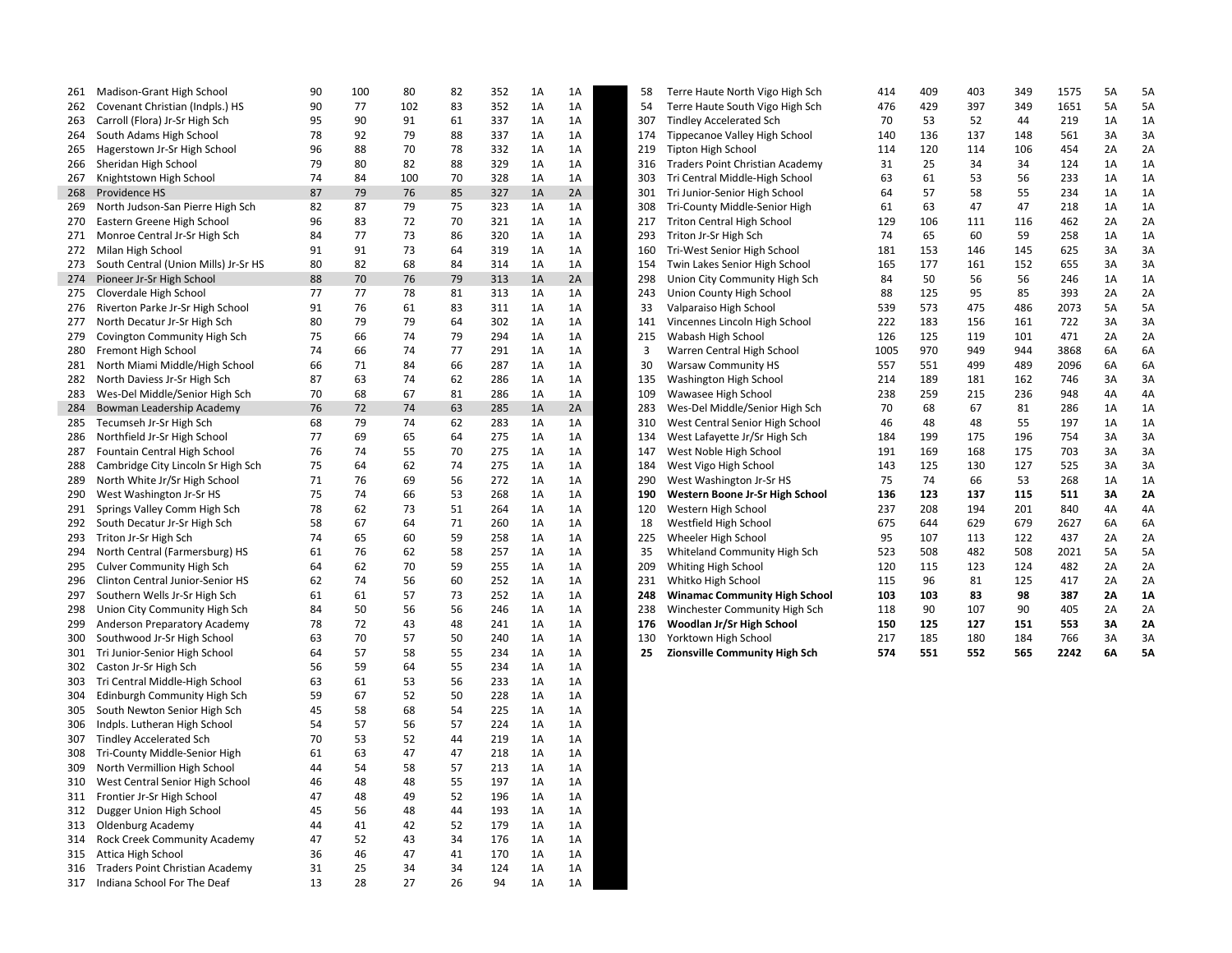| 261        | Madison-Grant High School            | 90 | 100 | 80  | 82 | 352 | 1A | 1A | 58  | Terre Haute North Vigo High Sch                     | 414  | 409 | 403 | 349 | 1575 | 5A | 5A        |
|------------|--------------------------------------|----|-----|-----|----|-----|----|----|-----|-----------------------------------------------------|------|-----|-----|-----|------|----|-----------|
| 262        | Covenant Christian (Indpls.) HS      | 90 | 77  | 102 | 83 | 352 | 1A | 1A | 54  | Terre Haute South Vigo High Sch                     | 476  | 429 | 397 | 349 | 1651 | 5A | 5A        |
| 263        | Carroll (Flora) Jr-Sr High Sch       | 95 | 90  | 91  | 61 | 337 | 1A | 1A | 307 | <b>Tindley Accelerated Sch</b>                      | 70   | 53  | 52  | 44  | 219  | 1A | 1A        |
| 264        | South Adams High School              | 78 | 92  | 79  | 88 | 337 | 1A | 1A | 174 | Tippecanoe Valley High School                       | 140  | 136 | 137 | 148 | 561  | 3A | 3A        |
| 265        | Hagerstown Jr-Sr High School         | 96 | 88  | 70  | 78 | 332 | 1A | 1A | 219 | Tipton High School                                  | 114  | 120 | 114 | 106 | 454  | 2A | 2A        |
| 266        | Sheridan High School                 | 79 | 80  | 82  | 88 | 329 | 1A | 1A | 316 | Traders Point Christian Academy                     | 31   | 25  | 34  | 34  | 124  | 1A | 1A        |
| 267        | Knightstown High School              | 74 | 84  | 100 | 70 | 328 | 1A | 1A | 303 | Tri Central Middle-High School                      | 63   | 61  | 53  | 56  | 233  | 1A | 1A        |
| 268        | Providence HS                        | 87 | 79  | 76  | 85 | 327 | 1A | 2A | 301 | Tri Junior-Senior High School                       | 64   | 57  | 58  | 55  | 234  | 1A | 1A        |
| 269        | North Judson-San Pierre High Sch     | 82 | 87  | 79  | 75 | 323 | 1A | 1A | 308 | Tri-County Middle-Senior High                       | 61   | 63  | 47  | 47  | 218  | 1A | 1A        |
| 270        | Eastern Greene High School           | 96 | 83  | 72  | 70 | 321 | 1A | 1A | 217 | Triton Central High School                          | 129  | 106 | 111 | 116 | 462  | 2A | 2A        |
| 271        | Monroe Central Jr-Sr High Sch        | 84 | 77  | 73  | 86 | 320 | 1A | 1A | 293 | Triton Jr-Sr High Sch                               | 74   | 65  | 60  | 59  | 258  | 1A | 1A        |
| 272        | Milan High School                    | 91 | 91  | 73  | 64 | 319 | 1A | 1A | 160 | Tri-West Senior High School                         | 181  | 153 | 146 | 145 | 625  | 3A | 3A        |
| 273        | South Central (Union Mills) Jr-Sr HS | 80 | 82  | 68  | 84 | 314 | 1A | 1A | 154 | Twin Lakes Senior High School                       | 165  | 177 | 161 | 152 | 655  | 3A | 3A        |
| 274        | Pioneer Jr-Sr High School            | 88 | 70  | 76  | 79 | 313 | 1A | 2A | 298 | Union City Community High Sch                       | 84   | 50  | 56  | 56  | 246  | 1A | 1A        |
| 275        | Cloverdale High School               | 77 | 77  | 78  | 81 | 313 | 1A | 1A | 243 | Union County High School                            | 88   | 125 | 95  | 85  | 393  | 2A | 2A        |
| 276        | Riverton Parke Jr-Sr High School     | 91 | 76  | 61  | 83 | 311 | 1A | 1A | 33  | Valparaiso High School                              | 539  | 573 | 475 | 486 | 2073 | 5A | 5A        |
| 277        | North Decatur Jr-Sr High Sch         | 80 | 79  | 79  | 64 | 302 | 1A | 1A | 141 | Vincennes Lincoln High School                       | 222  | 183 | 156 | 161 | 722  | 3A | 3A        |
| 279        | Covington Community High Sch         | 75 | 66  | 74  | 79 | 294 | 1A | 1A | 215 | Wabash High School                                  | 126  | 125 | 119 | 101 | 471  | 2A | 2A        |
| 280        | Fremont High School                  | 74 | 66  | 74  | 77 | 291 | 1A | 1A | 3   | Warren Central High School                          | 1005 | 970 | 949 | 944 | 3868 | 6A | 6A        |
| 281        | North Miami Middle/High School       | 66 | 71  | 84  | 66 | 287 | 1A | 1A | 30  | <b>Warsaw Community HS</b>                          | 557  | 551 | 499 | 489 | 2096 | 6A | 6A        |
| 282        | North Daviess Jr-Sr High Sch         | 87 | 63  | 74  | 62 | 286 | 1A | 1A | 135 | Washington High School                              | 214  | 189 | 181 | 162 | 746  | 3A | 3A        |
| 283        | Wes-Del Middle/Senior High Sch       | 70 | 68  | 67  | 81 | 286 | 1A | 1A | 109 | Wawasee High School                                 | 238  | 259 | 215 | 236 | 948  | 4A | 4A        |
| 284        | Bowman Leadership Academy            | 76 | 72  | 74  | 63 | 285 | 1A | 2A | 283 | Wes-Del Middle/Senior High Sch                      | 70   | 68  | 67  | 81  | 286  | 1A | 1A        |
| 285        | Tecumseh Jr-Sr High Sch              | 68 | 79  | 74  | 62 | 283 | 1A | 1A | 310 | West Central Senior High School                     | 46   | 48  | 48  | 55  | 197  | 1A | 1A        |
| 286        | Northfield Jr-Sr High School         | 77 | 69  | 65  | 64 | 275 | 1A | 1A | 134 | West Lafayette Jr/Sr High Sch                       | 184  | 199 | 175 | 196 | 754  | 3A | 3A        |
| 287        | Fountain Central High School         | 76 | 74  | 55  | 70 | 275 | 1A | 1A | 147 | West Noble High School                              | 191  | 169 | 168 | 175 | 703  | 3A | 3A        |
| 288        | Cambridge City Lincoln Sr High Sch   | 75 | 64  | 62  | 74 | 275 | 1A | 1A | 184 | West Vigo High School                               | 143  | 125 | 130 | 127 | 525  | 3A | 3A        |
| 289        | North White Jr/Sr High School        | 71 | 76  | 69  | 56 | 272 | 1A | 1A | 290 | West Washington Jr-Sr HS                            | 75   | 74  | 66  | 53  | 268  | 1A | 1A        |
| 290        | West Washington Jr-Sr HS             | 75 | 74  | 66  | 53 | 268 | 1A | 1A | 190 | Western Boone Jr-Sr High School                     | 136  | 123 | 137 | 115 | 511  | 3A | 2A        |
| 291        | Springs Valley Comm High Sch         | 78 | 62  | 73  | 51 | 264 | 1A | 1A | 120 | Western High School                                 | 237  | 208 | 194 | 201 | 840  | 4A | 4A        |
| 292        | South Decatur Jr-Sr High Sch         | 58 | 67  | 64  | 71 | 260 | 1A | 1A | 18  | Westfield High School                               | 675  | 644 | 629 | 679 | 2627 | 6A | 6A        |
| 293        | Triton Jr-Sr High Sch                | 74 | 65  | 60  | 59 | 258 | 1A | 1A | 225 | Wheeler High School                                 | 95   | 107 | 113 | 122 | 437  | 2A | 2A        |
|            |                                      | 61 | 76  | 62  | 58 | 257 | 1A | 1A | 35  |                                                     | 523  | 508 | 482 | 508 | 2021 | 5A | 5A        |
| 294        | North Central (Farmersburg) HS       | 64 | 62  | 70  | 59 | 255 | 1A | 1A | 209 | Whiteland Community High Sch<br>Whiting High School | 120  | 115 | 123 | 124 | 482  |    | 2A        |
| 295<br>296 | <b>Culver Community High Sch</b>     | 62 | 74  | 56  |    |     |    | 1A | 231 |                                                     |      | 96  |     |     | 417  | 2A | 2A        |
|            | Clinton Central Junior-Senior HS     |    |     |     | 60 | 252 | 1A |    |     | Whitko High School                                  | 115  |     | 81  | 125 |      | 2A |           |
| 297        | Southern Wells Jr-Sr High Sch        | 61 | 61  | 57  | 73 | 252 | 1A | 1A | 248 | <b>Winamac Community High School</b>                | 103  | 103 | 83  | 98  | 387  | 2A | <b>1A</b> |
| 298        | Union City Community High Sch        | 84 | 50  | 56  | 56 | 246 | 1A | 1A | 238 | Winchester Community High Sch                       | 118  | 90  | 107 | 90  | 405  | 2A | 2A        |
| 299        | Anderson Preparatory Academy         | 78 | 72  | 43  | 48 | 241 | 1A | 1A | 176 | Woodlan Jr/Sr High School                           | 150  | 125 | 127 | 151 | 553  | 3A | <b>2A</b> |
| 300        | Southwood Jr-Sr High School          | 63 | 70  | 57  | 50 | 240 | 1A | 1A | 130 | Yorktown High School                                | 217  | 185 | 180 | 184 | 766  | 3A | 3A        |
| 301        | Tri Junior-Senior High School        | 64 | 57  | 58  | 55 | 234 | 1A | 1A | 25  | <b>Zionsville Community High Sch</b>                | 574  | 551 | 552 | 565 | 2242 | 6A | <b>5A</b> |
| 302        | Caston Jr-Sr High Sch                | 56 | 59  | 64  | 55 | 234 | 1A | 1A |     |                                                     |      |     |     |     |      |    |           |
| 303        | Tri Central Middle-High School       | 63 | 61  | 53  | 56 | 233 | 1A | 1A |     |                                                     |      |     |     |     |      |    |           |
| 304        | Edinburgh Community High Sch         | 59 | 67  | 52  | 50 | 228 | 1A | 1A |     |                                                     |      |     |     |     |      |    |           |
| 305        | South Newton Senior High Sch         | 45 | 58  | 68  | 54 | 225 | 1A | 1A |     |                                                     |      |     |     |     |      |    |           |
| 306        | Indpls. Lutheran High School         | 54 | 57  | 56  | 57 | 224 | 1A | 1A |     |                                                     |      |     |     |     |      |    |           |
| 307        | <b>Tindley Accelerated Sch</b>       | 70 | 53  | 52  | 44 | 219 | 1A | 1A |     |                                                     |      |     |     |     |      |    |           |
| 308        | Tri-County Middle-Senior High        | 61 | 63  | 47  | 47 | 218 | 1A | 1A |     |                                                     |      |     |     |     |      |    |           |
| 309        | North Vermillion High School         | 44 | 54  | 58  | 57 | 213 | 1A | 1A |     |                                                     |      |     |     |     |      |    |           |
| 310        | West Central Senior High School      | 46 | 48  | 48  | 55 | 197 | 1A | 1A |     |                                                     |      |     |     |     |      |    |           |
| 311        | Frontier Jr-Sr High School           | 47 | 48  | 49  | 52 | 196 | 1A | 1A |     |                                                     |      |     |     |     |      |    |           |
| 312        | Dugger Union High School             | 45 | 56  | 48  | 44 | 193 | 1A | 1A |     |                                                     |      |     |     |     |      |    |           |
| 313        | <b>Oldenburg Academy</b>             | 44 | 41  | 42  | 52 | 179 | 1A | 1A |     |                                                     |      |     |     |     |      |    |           |
| 314        | Rock Creek Community Academy         | 47 | 52  | 43  | 34 | 176 | 1A | 1A |     |                                                     |      |     |     |     |      |    |           |
| 315        | Attica High School                   | 36 | 46  | 47  | 41 | 170 | 1A | 1A |     |                                                     |      |     |     |     |      |    |           |
| 316        | Traders Point Christian Academy      | 31 | 25  | 34  | 34 | 124 | 1A | 1A |     |                                                     |      |     |     |     |      |    |           |
| 317        | Indiana School For The Deaf          | 13 | 28  | 27  | 26 | 94  | 1A | 1A |     |                                                     |      |     |     |     |      |    |           |

| 58 | Terre Haute North Vigo High Sch      | 414  | 409 | 403 | 349 | 1575 | 5A | 5A        |
|----|--------------------------------------|------|-----|-----|-----|------|----|-----------|
| 54 | Terre Haute South Vigo High Sch      | 476  | 429 | 397 | 349 | 1651 | 5A | 5A        |
| 07 | <b>Tindley Accelerated Sch</b>       | 70   | 53  | 52  | 44  | 219  | 1A | 1A        |
| 74 | Tippecanoe Valley High School        | 140  | 136 | 137 | 148 | 561  | 3A | 3A        |
| 19 | <b>Tipton High School</b>            | 114  | 120 | 114 | 106 | 454  | 2A | 2A        |
| 16 | Traders Point Christian Academy      | 31   | 25  | 34  | 34  | 124  | 1A | 1A        |
| 03 | Tri Central Middle-High School       | 63   | 61  | 53  | 56  | 233  | 1A | 1A        |
| 01 | Tri Junior-Senior High School        | 64   | 57  | 58  | 55  | 234  | 1A | 1A        |
| 08 | Tri-County Middle-Senior High        | 61   | 63  | 47  | 47  | 218  | 1A | 1A        |
| 17 | <b>Triton Central High School</b>    | 129  | 106 | 111 | 116 | 462  | 2A | 2A        |
| 93 | Triton Jr-Sr High Sch                | 74   | 65  | 60  | 59  | 258  | 1A | 1A        |
| 60 | Tri-West Senior High School          | 181  | 153 | 146 | 145 | 625  | 3A | 3A        |
| 54 | Twin Lakes Senior High School        | 165  | 177 | 161 | 152 | 655  | 3A | 3A        |
| 98 | Union City Community High Sch        | 84   | 50  | 56  | 56  | 246  | 1A | 1A        |
| 43 | Union County High School             | 88   | 125 | 95  | 85  | 393  | 2A | 2A        |
| 33 | Valparaiso High School               | 539  | 573 | 475 | 486 | 2073 | 5A | 5A        |
| 41 | Vincennes Lincoln High School        | 222  | 183 | 156 | 161 | 722  | 3A | 3A        |
| 15 | Wabash High School                   | 126  | 125 | 119 | 101 | 471  | 2A | 2A        |
| 3  | Warren Central High School           | 1005 | 970 | 949 | 944 | 3868 | 6A | 6A        |
| 30 | <b>Warsaw Community HS</b>           | 557  | 551 | 499 | 489 | 2096 | 6A | 6A        |
| 35 | Washington High School               | 214  | 189 | 181 | 162 | 746  | 3A | 3A        |
| 09 | Wawasee High School                  | 238  | 259 | 215 | 236 | 948  | 4A | 4A        |
| 83 | Wes-Del Middle/Senior High Sch       | 70   | 68  | 67  | 81  | 286  | 1A | 1A        |
| 10 | West Central Senior High School      | 46   | 48  | 48  | 55  | 197  | 1A | 1A        |
| 34 | West Lafayette Jr/Sr High Sch        | 184  | 199 | 175 | 196 | 754  | 3A | 3A        |
| 47 | West Noble High School               | 191  | 169 | 168 | 175 | 703  | 3A | 3A        |
| 84 | West Vigo High School                | 143  | 125 | 130 | 127 | 525  | 3A | 3A        |
| 90 | West Washington Jr-Sr HS             | 75   | 74  | 66  | 53  | 268  | 1A | 1A        |
| 90 | Western Boone Jr-Sr High School      | 136  | 123 | 137 | 115 | 511  | 3A | 2A        |
| 20 | Western High School                  | 237  | 208 | 194 | 201 | 840  | 4A | 4A        |
| 18 | Westfield High School                | 675  | 644 | 629 | 679 | 2627 | 6A | 6A        |
| 25 | Wheeler High School                  | 95   | 107 | 113 | 122 | 437  | 2A | 2A        |
| 35 | Whiteland Community High Sch         | 523  | 508 | 482 | 508 | 2021 | 5A | 5A        |
| 09 | Whiting High School                  | 120  | 115 | 123 | 124 | 482  | 2A | 2A        |
| 31 | Whitko High School                   | 115  | 96  | 81  | 125 | 417  | 2A | 2A        |
| 48 | <b>Winamac Community High School</b> | 103  | 103 | 83  | 98  | 387  | 2A | <b>1A</b> |
| 38 | Winchester Community High Sch        | 118  | 90  | 107 | 90  | 405  | 2A | 2A        |
| 76 | Woodlan Jr/Sr High School            | 150  | 125 | 127 | 151 | 553  | 3A | 2A        |
| 30 | Yorktown High School                 | 217  | 185 | 180 | 184 | 766  | 3A | 3A        |
| 25 | <b>Zionsville Community High Sch</b> | 574  | 551 | 552 | 565 | 2242 | 6A | <b>5A</b> |
|    |                                      |      |     |     |     |      |    |           |